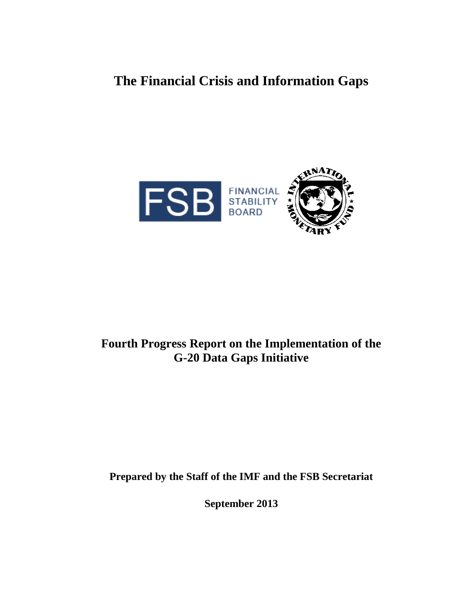**The Financial Crisis and Information Gaps**



# **Fourth Progress Report on the Implementation of the G-20 Data Gaps Initiative**

**Prepared by the Staff of the IMF and the FSB Secretariat**

**September 2013**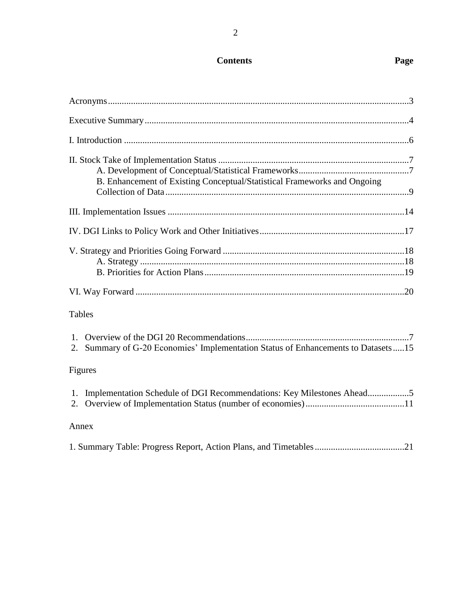# **Contents Page**

| B. Enhancement of Existing Conceptual/Statistical Frameworks and Ongoing          |  |
|-----------------------------------------------------------------------------------|--|
|                                                                                   |  |
|                                                                                   |  |
|                                                                                   |  |
|                                                                                   |  |
| <b>Tables</b>                                                                     |  |
| 2. Summary of G-20 Economies' Implementation Status of Enhancements to Datasets15 |  |
| Figures                                                                           |  |
| 1. Implementation Schedule of DGI Recommendations: Key Milestones Ahead5          |  |
| Annex                                                                             |  |
|                                                                                   |  |

|--|--|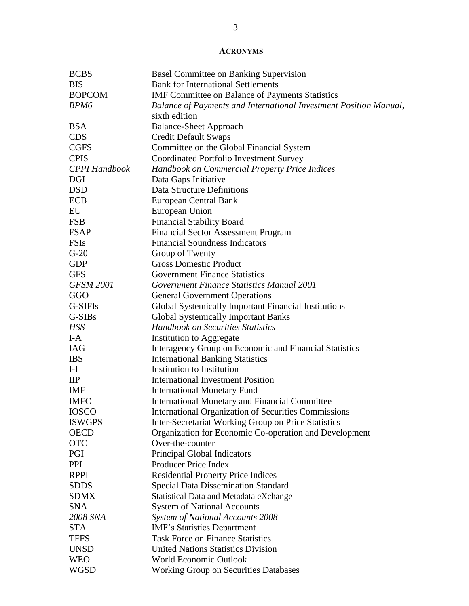#### **ACRONYMS**

| <b>BCBS</b>          | <b>Basel Committee on Banking Supervision</b>                     |
|----------------------|-------------------------------------------------------------------|
| <b>BIS</b>           | <b>Bank for International Settlements</b>                         |
| <b>BOPCOM</b>        | <b>IMF</b> Committee on Balance of Payments Statistics            |
| BPM6                 | Balance of Payments and International Investment Position Manual, |
|                      | sixth edition                                                     |
| <b>BSA</b>           | <b>Balance-Sheet Approach</b>                                     |
| <b>CDS</b>           | <b>Credit Default Swaps</b>                                       |
| <b>CGFS</b>          | Committee on the Global Financial System                          |
| <b>CPIS</b>          | Coordinated Portfolio Investment Survey                           |
| <b>CPPI</b> Handbook | Handbook on Commercial Property Price Indices                     |
| DGI                  | Data Gaps Initiative                                              |
| <b>DSD</b>           | <b>Data Structure Definitions</b>                                 |
| <b>ECB</b>           | European Central Bank                                             |
| EU                   | European Union                                                    |
| <b>FSB</b>           | <b>Financial Stability Board</b>                                  |
| <b>FSAP</b>          | <b>Financial Sector Assessment Program</b>                        |
| <b>FSIs</b>          | <b>Financial Soundness Indicators</b>                             |
| $G-20$               | Group of Twenty                                                   |
| <b>GDP</b>           | <b>Gross Domestic Product</b>                                     |
| <b>GFS</b>           | <b>Government Finance Statistics</b>                              |
| <b>GFSM 2001</b>     | Government Finance Statistics Manual 2001                         |
| GGO                  | <b>General Government Operations</b>                              |
| G-SIFIs              | Global Systemically Important Financial Institutions              |
| G-SIBs               | <b>Global Systemically Important Banks</b>                        |
| <b>HSS</b>           | <b>Handbook on Securities Statistics</b>                          |
| $I-A$                | Institution to Aggregate                                          |
| <b>IAG</b>           | Interagency Group on Economic and Financial Statistics            |
| <b>IBS</b>           | <b>International Banking Statistics</b>                           |
| $I-I$                | Institution to Institution                                        |
| $\mathbf{IIP}$       | <b>International Investment Position</b>                          |
| <b>IMF</b>           | <b>International Monetary Fund</b>                                |
| <b>IMFC</b>          | <b>International Monetary and Financial Committee</b>             |
| <b>IOSCO</b>         | <b>International Organization of Securities Commissions</b>       |
| <b>ISWGPS</b>        | Inter-Secretariat Working Group on Price Statistics               |
| <b>OECD</b>          | Organization for Economic Co-operation and Development            |
| <b>OTC</b>           | Over-the-counter                                                  |
| PGI                  | Principal Global Indicators                                       |
| <b>PPI</b>           | Producer Price Index                                              |
| <b>RPPI</b>          | <b>Residential Property Price Indices</b>                         |
| <b>SDDS</b>          | <b>Special Data Dissemination Standard</b>                        |
| <b>SDMX</b>          | <b>Statistical Data and Metadata eXchange</b>                     |
| <b>SNA</b>           | <b>System of National Accounts</b>                                |
| 2008 SNA             | System of National Accounts 2008                                  |
| <b>STA</b>           | <b>IMF's Statistics Department</b>                                |
| <b>TFFS</b>          | <b>Task Force on Finance Statistics</b>                           |
| <b>UNSD</b>          | <b>United Nations Statistics Division</b>                         |
| <b>WEO</b>           | World Economic Outlook                                            |
| <b>WGSD</b>          | <b>Working Group on Securities Databases</b>                      |
|                      |                                                                   |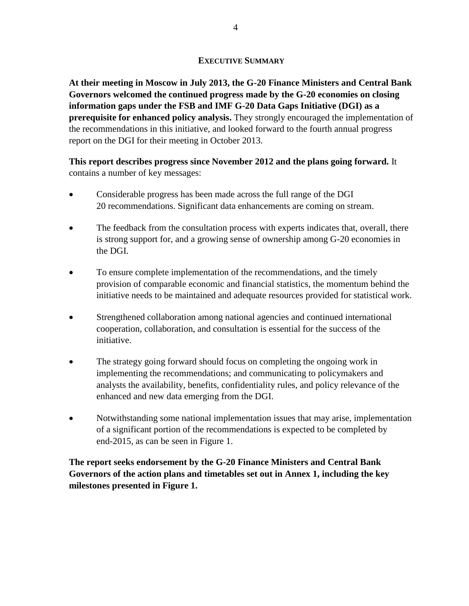#### **EXECUTIVE SUMMARY**

**At their meeting in Moscow in July 2013, the G-20 Finance Ministers and Central Bank Governors welcomed the continued progress made by the G-20 economies on closing information gaps under the FSB and IMF G-20 Data Gaps Initiative (DGI) as a prerequisite for enhanced policy analysis.** They strongly encouraged the implementation of the recommendations in this initiative, and looked forward to the fourth annual progress report on the DGI for their meeting in October 2013.

## **This report describes progress since November 2012 and the plans going forward.** It contains a number of key messages:

- Considerable progress has been made across the full range of the DGI 20 recommendations. Significant data enhancements are coming on stream.
- The feedback from the consultation process with experts indicates that, overall, there is strong support for, and a growing sense of ownership among G-20 economies in the DGI.
- To ensure complete implementation of the recommendations, and the timely provision of comparable economic and financial statistics, the momentum behind the initiative needs to be maintained and adequate resources provided for statistical work.
- Strengthened collaboration among national agencies and continued international cooperation, collaboration, and consultation is essential for the success of the initiative.
- The strategy going forward should focus on completing the ongoing work in implementing the recommendations; and communicating to policymakers and analysts the availability, benefits, confidentiality rules, and policy relevance of the enhanced and new data emerging from the DGI.
- Notwithstanding some national implementation issues that may arise, implementation of a significant portion of the recommendations is expected to be completed by end-2015, as can be seen in Figure 1.

**The report seeks endorsement by the G-20 Finance Ministers and Central Bank Governors of the action plans and timetables set out in Annex 1, including the key milestones presented in Figure 1.**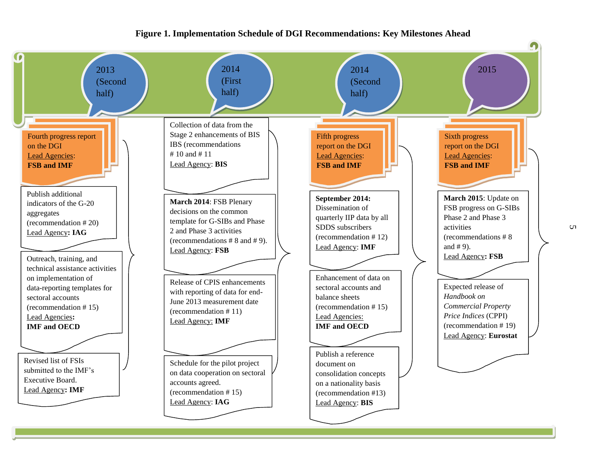#### **Figure 1. Implementation Schedule of DGI Recommendations: Key Milestones Ahead**



 $\sigma$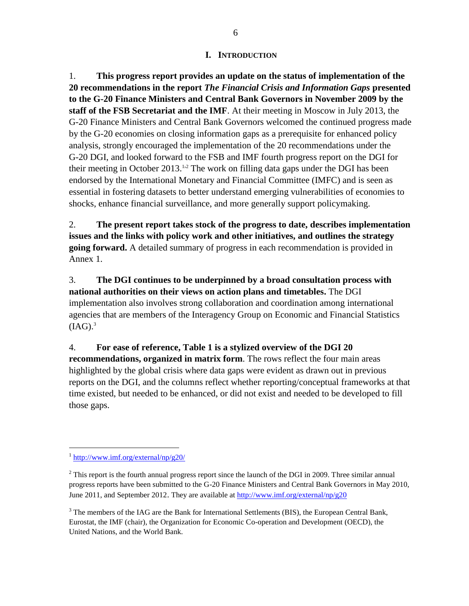#### **I. INTRODUCTION**

1. **This progress report provides an update on the status of implementation of the 20 recommendations in the report** *The Financial Crisis and Information Gaps* **presented to the G-20 Finance Ministers and Central Bank Governors in November 2009 by the staff of the FSB Secretariat and the IMF**. At their meeting in Moscow in July 2013, the G-20 Finance Ministers and Central Bank Governors welcomed the continued progress made by the G-20 economies on closing information gaps as a prerequisite for enhanced policy analysis, strongly encouraged the implementation of the 20 recommendations under the G-20 DGI, and looked forward to the FSB and IMF fourth progress report on the DGI for their meeting in October 2013.<sup>1,2</sup> The work on filling data gaps under the DGI has been endorsed by the International Monetary and Financial Committee (IMFC) and is seen as essential in fostering datasets to better understand emerging vulnerabilities of economies to shocks, enhance financial surveillance, and more generally support policymaking.

2. **The present report takes stock of the progress to date, describes implementation issues and the links with policy work and other initiatives, and outlines the strategy going forward.** A detailed summary of progress in each recommendation is provided in Annex 1.

3. **The DGI continues to be underpinned by a broad consultation process with national authorities on their views on action plans and timetables.** The DGI implementation also involves strong collaboration and coordination among international agencies that are members of the Interagency Group on Economic and Financial Statistics  $(IAG).$ <sup>3</sup>

4. **For ease of reference, Table 1 is a stylized overview of the DGI 20 recommendations, organized in matrix form**. The rows reflect the four main areas highlighted by the global crisis where data gaps were evident as drawn out in previous reports on the DGI, and the columns reflect whether reporting/conceptual frameworks at that time existed, but needed to be enhanced, or did not exist and needed to be developed to fill those gaps.

 $\frac{1 \text{ http://www.imf.org/external/np/g20/}}{1}$  $\frac{1 \text{ http://www.imf.org/external/np/g20/}}{1}$  $\frac{1 \text{ http://www.imf.org/external/np/g20/}}{1}$ 

 $2$  This report is the fourth annual progress report since the launch of the DGI in 2009. Three similar annual progress reports have been submitted to the G-20 Finance Ministers and Central Bank Governors in May 2010, June 2011, and September 2012. They are available a[t http://www.imf.org/external/np/g20](http://www.imf.org/external/np/g20)

 $3$  The members of the IAG are the Bank for International Settlements (BIS), the European Central Bank, Eurostat, the IMF (chair), the Organization for Economic Co-operation and Development (OECD), the United Nations, and the World Bank.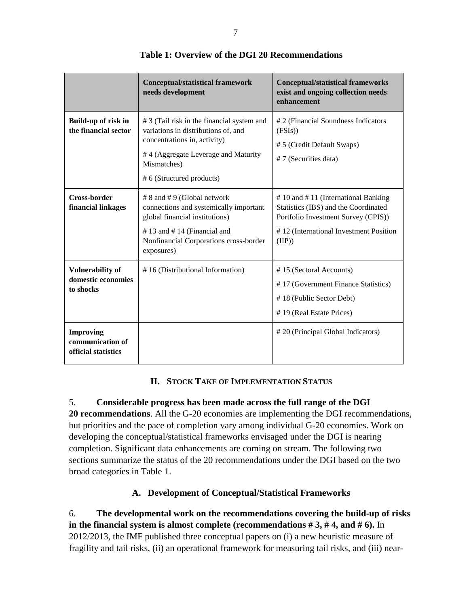|                                                             | <b>Conceptual/statistical framework</b><br>needs development                                                                                                                                         | <b>Conceptual/statistical frameworks</b><br>exist and ongoing collection needs<br>enhancement                                                                               |
|-------------------------------------------------------------|------------------------------------------------------------------------------------------------------------------------------------------------------------------------------------------------------|-----------------------------------------------------------------------------------------------------------------------------------------------------------------------------|
| Build-up of risk in<br>the financial sector                 | # 3 (Tail risk in the financial system and<br>variations in distributions of, and<br>concentrations in, activity)<br>#4 (Aggregate Leverage and Maturity<br>Mismatches)<br># 6 (Structured products) | # 2 (Financial Soundness Indicators<br>(FSIs))<br># 5 (Credit Default Swaps)<br>#7 (Securities data)                                                                        |
| <b>Cross-border</b><br>financial linkages                   | # 8 and # 9 (Global network<br>connections and systemically important<br>global financial institutions)<br>#13 and #14 (Financial and<br>Nonfinancial Corporations cross-border<br>exposures)        | $# 10$ and $# 11$ (International Banking<br>Statistics (IBS) and the Coordinated<br>Portfolio Investment Survey (CPIS))<br>#12 (International Investment Position<br>(IIP)) |
| <b>Vulnerability of</b><br>domestic economies<br>to shocks  | #16 (Distributional Information)                                                                                                                                                                     | #15 (Sectoral Accounts)<br>#17 (Government Finance Statistics)<br>#18 (Public Sector Debt)<br># 19 (Real Estate Prices)                                                     |
| <b>Improving</b><br>communication of<br>official statistics |                                                                                                                                                                                                      | #20 (Principal Global Indicators)                                                                                                                                           |

#### **Table 1: Overview of the DGI 20 Recommendations**

### **II. STOCK TAKE OF IMPLEMENTATION STATUS**

### 5. **Considerable progress has been made across the full range of the DGI**

**20 recommendations**. All the G-20 economies are implementing the DGI recommendations, but priorities and the pace of completion vary among individual G-20 economies. Work on developing the conceptual/statistical frameworks envisaged under the DGI is nearing completion. Significant data enhancements are coming on stream. The following two sections summarize the status of the 20 recommendations under the DGI based on the two broad categories in Table 1.

### **A. Development of Conceptual/Statistical Frameworks**

6. **The developmental work on the recommendations covering the build-up of risks in the financial system is almost complete (recommendations # 3, # 4, and # 6).** In 2012/2013, the IMF published three conceptual papers on (i) a new heuristic measure of fragility and tail risks, (ii) an operational framework for measuring tail risks, and (iii) near-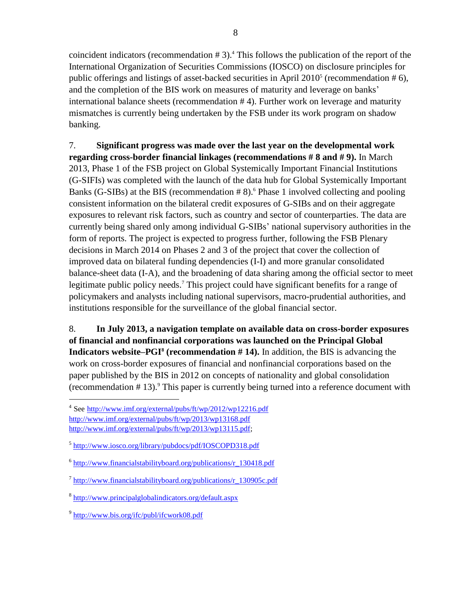coincident indicators (recommendation # 3). <sup>4</sup> This follows the publication of the report of the International Organization of Securities Commissions (IOSCO) on disclosure principles for public offerings and listings of asset-backed securities in April  $2010<sup>5</sup>$  (recommendation #6), and the completion of the BIS work on measures of maturity and leverage on banks' international balance sheets (recommendation # 4). Further work on leverage and maturity mismatches is currently being undertaken by the FSB under its work program on shadow banking.

7. **Significant progress was made over the last year on the developmental work regarding cross-border financial linkages (recommendations # 8 and # 9).** In March 2013, Phase 1 of the FSB project on Global Systemically Important Financial Institutions (G-SIFIs) was completed with the launch of the data hub for Global Systemically Important Banks (G-SIBs) at the BIS (recommendation # 8). <sup>6</sup> Phase 1 involved collecting and pooling consistent information on the bilateral credit exposures of G-SIBs and on their aggregate exposures to relevant risk factors, such as country and sector of counterparties. The data are currently being shared only among individual G-SIBs' national supervisory authorities in the form of reports. The project is expected to progress further, following the FSB Plenary decisions in March 2014 on Phases 2 and 3 of the project that cover the collection of improved data on bilateral funding dependencies (I-I) and more granular consolidated balance-sheet data (I-A), and the broadening of data sharing among the official sector to meet legitimate public policy needs.<sup>7</sup> This project could have significant benefits for a range of policymakers and analysts including national supervisors, macro-prudential authorities, and institutions responsible for the surveillance of the global financial sector.

8. **In July 2013, a navigation template on available data on cross-border exposures of financial and nonfinancial corporations was launched on the Principal Global Indicators website–PGI<sup>8</sup> (recommendation # 14).** In addition, the BIS is advancing the work on cross-border exposures of financial and nonfinancial corporations based on the paper published by the BIS in 2012 on concepts of nationality and global consolidation (recommendation # 13). <sup>9</sup> This paper is currently being turned into a reference document with

<sup>&</sup>lt;sup>4</sup> See <http://www.imf.org/external/pubs/ft/wp/2012/wp12216.pdf> <http://www.imf.org/external/pubs/ft/wp/2013/wp13168.pdf> [http://www.imf.org/external/pubs/ft/wp/2013/wp13115.pdf;](http://www.imf.org/external/pubs/ft/wp/2013/wp13115.pdf)

<sup>&</sup>lt;sup>5</sup> <http://www.iosco.org/library/pubdocs/pdf/IOSCOPD318.pdf>

<sup>&</sup>lt;sup>6</sup> [http://www.financialstabilityboard.org/publications/r\\_130418.pdf](http://www.financialstabilityboard.org/publications/r_130418.pdf)

<sup>&</sup>lt;sup>7</sup> [http://www.financialstabilityboard.org/publications/r\\_130905c.pdf](http://www.financialstabilityboard.org/publications/r_130905c.pdf)

<sup>&</sup>lt;sup>8</sup> <http://www.principalglobalindicators.org/default.aspx>

<sup>&</sup>lt;sup>9</sup> <http://www.bis.org/ifc/publ/ifcwork08.pdf>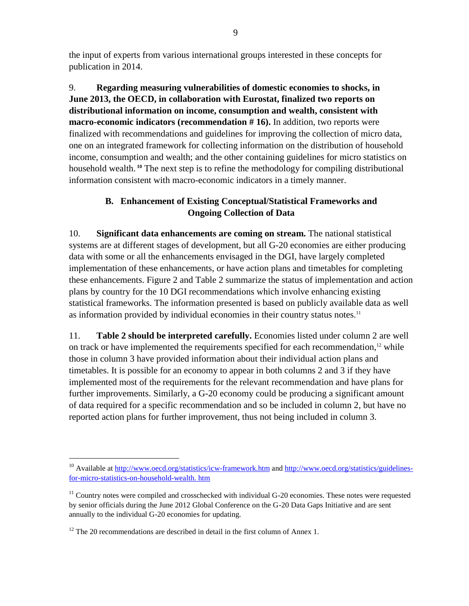the input of experts from various international groups interested in these concepts for publication in 2014.

9. **Regarding measuring vulnerabilities of domestic economies to shocks, in June 2013, the OECD, in collaboration with Eurostat, finalized two reports on distributional information on income, consumption and wealth, consistent with macro-economic indicators (recommendation # 16).** In addition, two reports were finalized with recommendations and guidelines for improving the collection of micro data, one on an integrated framework for collecting information on the distribution of household income, consumption and wealth; and the other containing guidelines for micro statistics on household wealth. **<sup>10</sup>** The next step is to refine the methodology for compiling distributional information consistent with macro-economic indicators in a timely manner.

# **B. Enhancement of Existing Conceptual/Statistical Frameworks and Ongoing Collection of Data**

10. **Significant data enhancements are coming on stream.** The national statistical systems are at different stages of development, but all G-20 economies are either producing data with some or all the enhancements envisaged in the DGI, have largely completed implementation of these enhancements, or have action plans and timetables for completing these enhancements. Figure 2 and Table 2 summarize the status of implementation and action plans by country for the 10 DGI recommendations which involve enhancing existing statistical frameworks. The information presented is based on publicly available data as well as information provided by individual economies in their country status notes.<sup>11</sup>

11. **Table 2 should be interpreted carefully.** Economies listed under column 2 are well on track or have implemented the requirements specified for each recommendation,<sup>12</sup> while those in column 3 have provided information about their individual action plans and timetables. It is possible for an economy to appear in both columns 2 and 3 if they have implemented most of the requirements for the relevant recommendation and have plans for further improvements. Similarly, a G-20 economy could be producing a significant amount of data required for a specific recommendation and so be included in column 2, but have no reported action plans for further improvement, thus not being included in column 3.

<sup>&</sup>lt;sup>10</sup> Available at<http://www.oecd.org/statistics/icw-framework.htm> and [http://www.oecd.org/statistics/guidelines](http://www.oecd.org/statistics/guidelines-for-micro-statistics-on-household-wealth.%20htm)[for-micro-statistics-on-household-wealth. htm](http://www.oecd.org/statistics/guidelines-for-micro-statistics-on-household-wealth.%20htm)

 $11$  Country notes were compiled and crosschecked with individual G-20 economies. These notes were requested by senior officials during the June 2012 Global Conference on the G-20 Data Gaps Initiative and are sent annually to the individual G-20 economies for updating.

 $12$  The 20 recommendations are described in detail in the first column of Annex 1.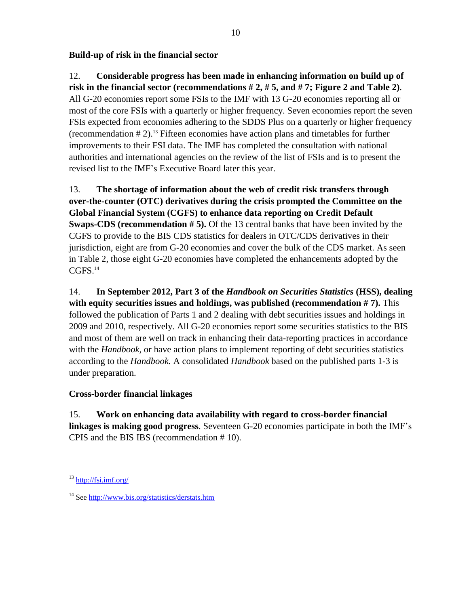# **Build-up of risk in the financial sector**

12. **Considerable progress has been made in enhancing information on build up of risk in the financial sector (recommendations # 2, # 5, and # 7; Figure 2 and Table 2)**. All G-20 economies report some FSIs to the IMF with 13 G-20 economies reporting all or most of the core FSIs with a quarterly or higher frequency. Seven economies report the seven FSIs expected from economies adhering to the SDDS Plus on a quarterly or higher frequency (recommendation # 2). <sup>13</sup> Fifteen economies have action plans and timetables for further improvements to their FSI data. The IMF has completed the consultation with national authorities and international agencies on the review of the list of FSIs and is to present the revised list to the IMF's Executive Board later this year.

13. **The shortage of information about the web of credit risk transfers through over-the-counter (OTC) derivatives during the crisis prompted the Committee on the Global Financial System (CGFS) to enhance data reporting on Credit Default Swaps-CDS (recommendation # 5).** Of the 13 central banks that have been invited by the CGFS to provide to the BIS CDS statistics for dealers in OTC/CDS derivatives in their jurisdiction, eight are from G-20 economies and cover the bulk of the CDS market. As seen in Table 2, those eight G-20 economies have completed the enhancements adopted by the CGFS. 14

14. **In September 2012, Part 3 of the** *Handbook on Securities Statistics* **(HSS), dealing with equity securities issues and holdings, was published (recommendation # 7).** This followed the publication of Parts 1 and 2 dealing with debt securities issues and holdings in 2009 and 2010, respectively. All G-20 economies report some securities statistics to the BIS and most of them are well on track in enhancing their data-reporting practices in accordance with the *Handbook*, or have action plans to implement reporting of debt securities statistics according to the *Handbook.* A consolidated *Handbook* based on the published parts 1-3 is under preparation.

### **Cross-border financial linkages**

15. **Work on enhancing data availability with regard to cross-border financial linkages is making good progress**. Seventeen G-20 economies participate in both the IMF's CPIS and the BIS IBS (recommendation # 10).

 $13 \text{ http://fsi.inf.org/}$ 

<sup>14</sup> See <http://www.bis.org/statistics/derstats.htm>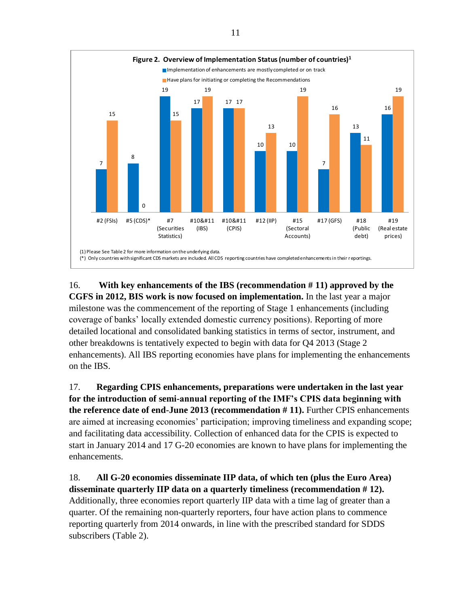

16. **With key enhancements of the IBS (recommendation # 11) approved by the CGFS in 2012, BIS work is now focused on implementation.** In the last year a major milestone was the commencement of the reporting of Stage 1 enhancements (including coverage of banks' locally extended domestic currency positions). Reporting of more detailed locational and consolidated banking statistics in terms of sector, instrument, and other breakdowns is tentatively expected to begin with data for Q4 2013 (Stage 2 enhancements). All IBS reporting economies have plans for implementing the enhancements on the IBS.

17. **Regarding CPIS enhancements, preparations were undertaken in the last year for the introduction of semi-annual reporting of the IMF's CPIS data beginning with the reference date of end-June 2013 (recommendation # 11).** Further CPIS enhancements are aimed at increasing economies' participation; improving timeliness and expanding scope; and facilitating data accessibility. Collection of enhanced data for the CPIS is expected to start in January 2014 and 17 G-20 economies are known to have plans for implementing the enhancements.

18. **All G-20 economies disseminate IIP data, of which ten (plus the Euro Area) disseminate quarterly IIP data on a quarterly timeliness (recommendation # 12).** Additionally, three economies report quarterly IIP data with a time lag of greater than a quarter. Of the remaining non-quarterly reporters, four have action plans to commence reporting quarterly from 2014 onwards, in line with the prescribed standard for SDDS subscribers (Table 2).

11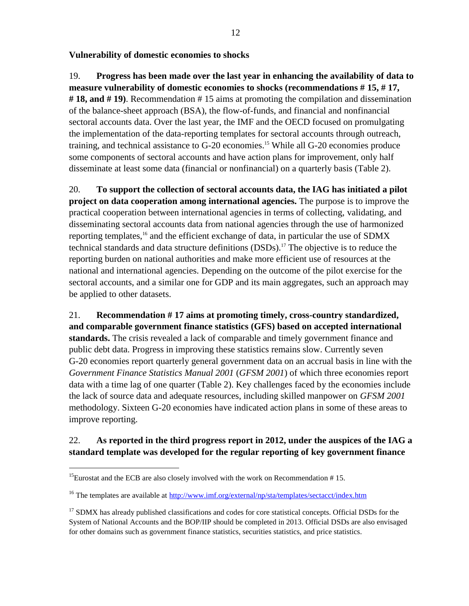**Vulnerability of domestic economies to shocks**

19. **Progress has been made over the last year in enhancing the availability of data to measure vulnerability of domestic economies to shocks (recommendations # 15, # 17, # 18, and # 19)**. Recommendation # 15 aims at promoting the compilation and dissemination of the balance-sheet approach (BSA), the flow-of-funds, and financial and nonfinancial sectoral accounts data. Over the last year, the IMF and the OECD focused on promulgating the implementation of the data-reporting templates for sectoral accounts through outreach, training, and technical assistance to G-20 economies. <sup>15</sup> While all G-20 economies produce some components of sectoral accounts and have action plans for improvement, only half disseminate at least some data (financial or nonfinancial) on a quarterly basis (Table 2).

20. **To support the collection of sectoral accounts data, the IAG has initiated a pilot project on data cooperation among international agencies.** The purpose is to improve the practical cooperation between international agencies in terms of collecting, validating, and disseminating sectoral accounts data from national agencies through the use of harmonized reporting templates,<sup>16</sup> and the efficient exchange of data, in particular the use of SDMX technical standards and data structure definitions (DSDs).<sup>17</sup> The objective is to reduce the reporting burden on national authorities and make more efficient use of resources at the national and international agencies. Depending on the outcome of the pilot exercise for the sectoral accounts, and a similar one for GDP and its main aggregates, such an approach may be applied to other datasets.

21. **Recommendation # 17 aims at promoting timely, cross-country standardized, and comparable government finance statistics (GFS) based on accepted international standards.** The crisis revealed a lack of comparable and timely government finance and public debt data. Progress in improving these statistics remains slow. Currently seven G-20 economies report quarterly general government data on an accrual basis in line with the *Government Finance Statistics Manual 2001* (*GFSM 2001*) of which three economies report data with a time lag of one quarter (Table 2). Key challenges faced by the economies include the lack of source data and adequate resources, including skilled manpower on *GFSM 2001* methodology. Sixteen G-20 economies have indicated action plans in some of these areas to improve reporting.

# 22. **As reported in the third progress report in 2012, under the auspices of the IAG a standard template was developed for the regular reporting of key government finance**

<sup>&</sup>lt;sup>15</sup>Eurostat and the ECB are also closely involved with the work on Recommendation  $# 15$ .

<sup>&</sup>lt;sup>16</sup> The templates are available at<http://www.imf.org/external/np/sta/templates/sectacct/index.htm>

<sup>&</sup>lt;sup>17</sup> SDMX has already published classifications and codes for core statistical concepts. Official DSDs for the System of National Accounts and the BOP/IIP should be completed in 2013. Official DSDs are also envisaged for other domains such as government finance statistics, securities statistics, and price statistics.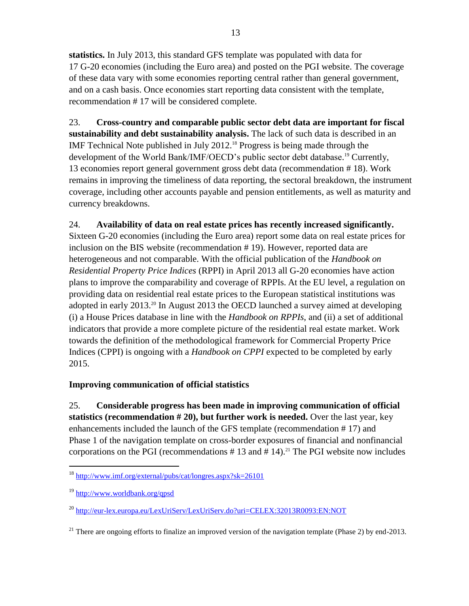**statistics.** In July 2013, this standard GFS template was populated with data for 17 G-20 economies (including the Euro area) and posted on the PGI website. The coverage of these data vary with some economies reporting central rather than general government, and on a cash basis. Once economies start reporting data consistent with the template, recommendation # 17 will be considered complete.

23. **Cross-country and comparable public sector debt data are important for fiscal sustainability and debt sustainability analysis.** The lack of such data is described in an IMF Technical Note published in July 2012. <sup>18</sup> Progress is being made through the development of the World Bank/IMF/OECD's public sector debt database. <sup>19</sup> Currently, 13 economies report general government gross debt data (recommendation # 18). Work remains in improving the timeliness of data reporting, the sectoral breakdown, the instrument coverage, including other accounts payable and pension entitlements, as well as maturity and currency breakdowns.

# 24. **Availability of data on real estate prices has recently increased significantly.**

Sixteen G-20 economies (including the Euro area) report some data on real estate prices for inclusion on the BIS website (recommendation # 19). However, reported data are heterogeneous and not comparable. With the official publication of the *Handbook on Residential Property Price Indices* (RPPI) in April 2013 all G-20 economies have action plans to improve the comparability and coverage of RPPIs. At the EU level, a regulation on providing data on residential real estate prices to the European statistical institutions was adopted in early 2013. <sup>20</sup> In August 2013 the OECD launched a survey aimed at developing (i) a House Prices database in line with the *Handbook on RPPIs*, and (ii) a set of additional indicators that provide a more complete picture of the residential real estate market. Work towards the definition of the methodological framework for Commercial Property Price Indices (CPPI) is ongoing with a *Handbook on CPPI* expected to be completed by early 2015.

# **Improving communication of official statistics**

25. **Considerable progress has been made in improving communication of official statistics (recommendation # 20), but further work is needed.** Over the last year, key enhancements included the launch of the GFS template (recommendation # 17) and Phase 1 of the navigation template on cross-border exposures of financial and nonfinancial corporations on the PGI (recommendations  $# 13$  and  $# 14$ ).<sup>21</sup> The PGI website now includes

<sup>18</sup> <http://www.imf.org/external/pubs/cat/longres.aspx?sk=26101>

<sup>19</sup> <http://www.worldbank.org/qpsd>

<sup>&</sup>lt;sup>20</sup> <http://eur-lex.europa.eu/LexUriServ/LexUriServ.do?uri=CELEX:32013R0093:EN:NOT>

<sup>&</sup>lt;sup>21</sup> There are ongoing efforts to finalize an improved version of the navigation template (Phase 2) by end-2013.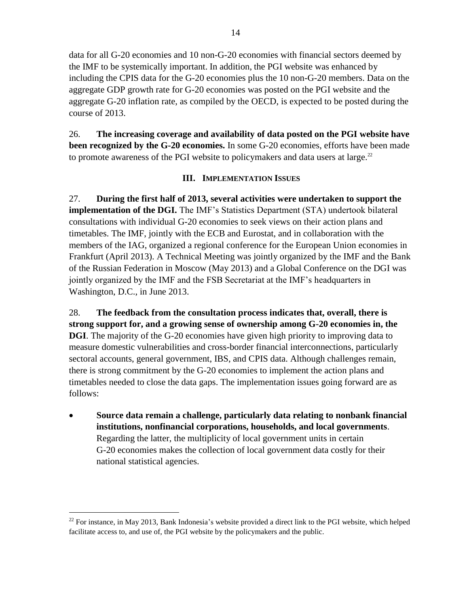data for all G-20 economies and 10 non-G-20 economies with financial sectors deemed by the IMF to be systemically important. In addition, the PGI website was enhanced by including the CPIS data for the G-20 economies plus the 10 non-G-20 members. Data on the aggregate GDP growth rate for G-20 economies was posted on the PGI website and the aggregate G-20 inflation rate, as compiled by the OECD, is expected to be posted during the course of 2013.

26. **The increasing coverage and availability of data posted on the PGI website have been recognized by the G-20 economies.** In some G-20 economies, efforts have been made to promote awareness of the PGI website to policymakers and data users at large.<sup>22</sup>

#### **III. IMPLEMENTATION ISSUES**

27. **During the first half of 2013, several activities were undertaken to support the implementation of the DGI.** The IMF's Statistics Department (STA) undertook bilateral consultations with individual G-20 economies to seek views on their action plans and timetables. The IMF, jointly with the ECB and Eurostat, and in collaboration with the members of the IAG, organized a regional conference for the European Union economies in Frankfurt (April 2013). A Technical Meeting was jointly organized by the IMF and the Bank of the Russian Federation in Moscow (May 2013) and a Global Conference on the DGI was jointly organized by the IMF and the FSB Secretariat at the IMF's headquarters in Washington, D.C., in June 2013.

28. **The feedback from the consultation process indicates that, overall, there is strong support for, and a growing sense of ownership among G-20 economies in, the DGI**. The majority of the G-20 economies have given high priority to improving data to measure domestic vulnerabilities and cross-border financial interconnections, particularly sectoral accounts, general government, IBS, and CPIS data. Although challenges remain, there is strong commitment by the G-20 economies to implement the action plans and timetables needed to close the data gaps. The implementation issues going forward are as follows:

 **Source data remain a challenge, particularly data relating to nonbank financial institutions, nonfinancial corporations, households, and local governments**. Regarding the latter, the multiplicity of local government units in certain G-20 economies makes the collection of local government data costly for their national statistical agencies.

<sup>&</sup>lt;sup>22</sup> For instance, in May 2013, Bank Indonesia's website provided a direct link to the PGI website, which helped facilitate access to, and use of, the PGI website by the policymakers and the public.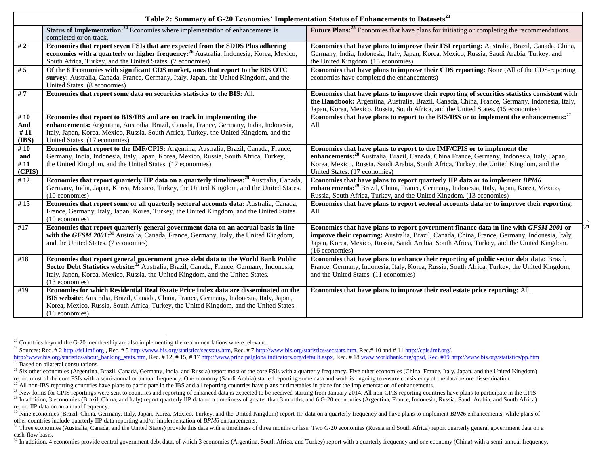|                             | Table 2: Summary of G-20 Economies' Implementation Status of Enhancements to Datasets <sup>23</sup>                                                                                                                                                                                            |                                                                                                                                                                                                                                                                                                              |  |  |
|-----------------------------|------------------------------------------------------------------------------------------------------------------------------------------------------------------------------------------------------------------------------------------------------------------------------------------------|--------------------------------------------------------------------------------------------------------------------------------------------------------------------------------------------------------------------------------------------------------------------------------------------------------------|--|--|
|                             | <b>Status of Implementation:</b> <sup>24</sup> Economies where implementation of enhancements is<br>completed or on track.                                                                                                                                                                     | Future Plans: <sup>25</sup> Economies that have plans for initiating or completing the recommendations.                                                                                                                                                                                                      |  |  |
| #2                          | Economies that report seven FSIs that are expected from the SDDS Plus adhering<br>economies with a quarterly or higher frequency: <sup>26</sup> Australia, Indonesia, Korea, Mexico,<br>South Africa, Turkey, and the United States. (7 economies)                                             | Economies that have plans to improve their FSI reporting: Australia, Brazil, Canada, China,<br>Germany, India, Indonesia, Italy, Japan, Korea, Mexico, Russia, Saudi Arabia, Turkey, and<br>the United Kingdom. (15 economies)                                                                               |  |  |
| #5                          | Of the 8 Economies with significant CDS market, ones that report to the BIS OTC<br>survey: Australia, Canada, France, Germany, Italy, Japan, the United Kingdom, and the<br>United States. (8 economies)                                                                                       | Economies that have plans to improve their CDS reporting: None (All of the CDS-reporting<br>economies have completed the enhancements)                                                                                                                                                                       |  |  |
| #7                          | Economies that report some data on securities statistics to the BIS: All.                                                                                                                                                                                                                      | Economies that have plans to improve their reporting of securities statistics consistent with<br>the Handbook: Argentina, Australia, Brazil, Canada, China, France, Germany, Indonesia, Italy,<br>Japan, Korea, Mexico, Russia, South Africa, and the United States. (15 economies)                          |  |  |
| #10<br>And<br>#11<br>(IBS)  | Economies that report to BIS/IBS and are on track in implementing the<br>enhancements: Argentina, Australia, Brazil, Canada, France, Germany, India, Indonesia,<br>Italy, Japan, Korea, Mexico, Russia, South Africa, Turkey, the United Kingdom, and the<br>United States. (17 economies)     | Economies that have plans to report to the BIS/IBS or to implement the enhancements: <sup>27</sup><br>All                                                                                                                                                                                                    |  |  |
| #10<br>and<br>#11<br>(CPIS) | Economies that report to the IMF/CPIS: Argentina, Australia, Brazil, Canada, France,<br>Germany, India, Indonesia, Italy, Japan, Korea, Mexico, Russia, South Africa, Turkey,<br>the United Kingdom, and the United States. (17 economies)                                                     | Economies that have plans to report to the IMF/CPIS or to implement the<br>enhancements: <sup>28</sup> Australia, Brazil, Canada, China France, Germany, Indonesia, Italy, Japan,<br>Korea, Mexico, Russia, Saudi Arabia, South Africa, Turkey, the United Kingdom, and the<br>United States. (17 economies) |  |  |
| $\overline{412}$            | <b>Economies that report quarterly IIP data on a quarterly timeliness:</b> <sup>29</sup> Australia, Canada,<br>Germany, India, Japan, Korea, Mexico, Turkey, the United Kingdom, and the United States.<br>(10 economies)                                                                      | Economies that have plans to report quarterly IIP data or to implement BPM6<br>enhancements: <sup>30</sup> Brazil, China, France, Germany, Indonesia, Italy, Japan, Korea, Mexico,<br>Russia, South Africa, Turkey, and the United Kingdom. (13 economies)                                                   |  |  |
| #15                         | Economies that report some or all quarterly sectoral accounts data: Australia, Canada,<br>France, Germany, Italy, Japan, Korea, Turkey, the United Kingdom, and the United States<br>$(10$ economies)                                                                                          | Economies that have plans to report sectoral accounts data or to improve their reporting:<br>All                                                                                                                                                                                                             |  |  |
| #17                         | Economies that report quarterly general government data on an accrual basis in line<br>with the GFSM 2001: <sup>31</sup> Australia, Canada, France, Germany, Italy, the United Kingdom,<br>and the United States. (7 economies)                                                                | S<br>Economies that have plans to report government finance data in line with GFSM 2001 or<br>improve their reporting: Australia, Brazil, Canada, China, France, Germany, Indonesia, Italy,<br>Japan, Korea, Mexico, Russia, Saudi Arabia, South Africa, Turkey, and the United Kingdom.<br>(16 economies)   |  |  |
| #18                         | Economies that report general government gross debt data to the World Bank Public<br>Sector Debt Statistics website: <sup>32</sup> Australia, Brazil, Canada, France, Germany, Indonesia,<br>Italy, Japan, Korea, Mexico, Russia, the United Kingdom, and the United States.<br>(13 economies) | Economies that have plans to enhance their reporting of public sector debt data: Brazil,<br>France, Germany, Indonesia, Italy, Korea, Russia, South Africa, Turkey, the United Kingdom,<br>and the United States. (11 economies)                                                                             |  |  |
| #19                         | Economies for which Residential Real Estate Price Index data are disseminated on the<br>BIS website: Australia, Brazil, Canada, China, France, Germany, Indonesia, Italy, Japan,<br>Korea, Mexico, Russia, South Africa, Turkey, the United Kingdom, and the United States.<br>(16 economies)  | Economies that have plans to improve their real estate price reporting: All.                                                                                                                                                                                                                                 |  |  |

<sup>&</sup>lt;sup>23</sup> Countries beyond the G-20 membership are also implementing the recommendations where relevant.

<sup>&</sup>lt;sup>24</sup> Sources: Rec. # [2 http://fsi.imf.org](http://fsi.imf.org/) , Rec. # [5 http://www.bis.org/statistics/secstats.htm,](http://www.bis.org/statistics/secstats.htm) Rec. # [7 http://www.bis.org/statistics/secstats.htm,](http://www.bis.org/statistics/secstats.htm) Rec.# 10 and # 11 http://cpis.imf.org/,

[http://www.bis.org/statistics/about\\_banking\\_stats.htm,](http://www.bis.org/statistics/about_banking_stats.htm) Rec. # 12, # 15, # 17 [http://www.principalglobalindicators.org/default.aspx,](http://www.principalglobalindicators.org/default.aspx) Rec. #1[8 www.worldbank.org/qpsd, Rec. #19](http://www.worldbank.org/qpsd,%20Rec.#19) <http://www.bis.org/statistics/pp.htm>  $^{25}$  Based on bilateral consultations.

<sup>&</sup>lt;sup>26</sup> Six other economies (Argentina, Brazil, Canada, Germany, India, and Russia) report most of the core FSIs with a quarterly frequency. Five other economies (China, France, Italy, Japan, and the United Kingdom) report most of the core FSIs with a semi-annual or annual frequency. One economy (Saudi Arabia) started reporting some data and work is ongoing to ensure consistency of the data before dissemination.

<sup>&</sup>lt;sup>7</sup> All non-IBS reporting countries have plans to participate in the IBS and all reporting countries have plans or timetables in place for the implementation of enhancements.

<sup>&</sup>lt;sup>28</sup> New forms for CPIS reportings were sent to countries and reporting of enhanced data is expected to be received starting from January 2014. All non-CPIS reporting countries have plans to participate in the CPIS.

 $^{29}$  In addition, 3 economies (Brazil, China, and Italy) report quarterly IIP data on a timeliness of greater than 3 months, and 6 G-20 economies (Argentina, France, Indonesia, Russia, Saudi Arabia, and South Africa) report IIP data on an annual frequency.

<sup>&</sup>lt;sup>30</sup> Nine economies (Brazil, China, Germany, Italy, Japan, Korea, Mexico, Turkey, and the United Kingdom) report IIP data on a quarterly frequency and have plans to implement *BPM6* enhancements, while plans of other countries include quarterly IIP data reporting and/or implementation of *BPM6* enhancements.

<sup>&</sup>lt;sup>31</sup> Three economies (Australia, Canada, and the United States) provide this data with a timeliness of three months or less. Two G-20 economies (Russia and South Africa) report quarterly general government data on a cash-flow basis.

<sup>&</sup>lt;sup>32</sup> In addition, 4 economies provide central government debt data, of which 3 economies (Argentina, South Africa, and Turkey) report with a quarterly frequency and one economy (China) with a semi-annual frequency.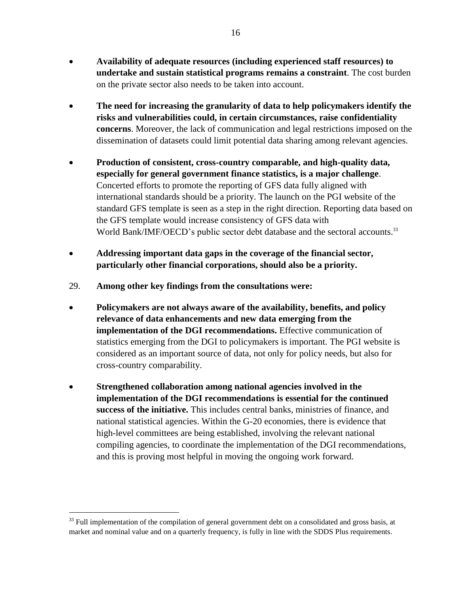- **Availability of adequate resources (including experienced staff resources) to undertake and sustain statistical programs remains a constraint**. The cost burden on the private sector also needs to be taken into account.
- **The need for increasing the granularity of data to help policymakers identify the risks and vulnerabilities could, in certain circumstances, raise confidentiality concerns**. Moreover, the lack of communication and legal restrictions imposed on the dissemination of datasets could limit potential data sharing among relevant agencies.
- **Production of consistent, cross-country comparable, and high-quality data, especially for general government finance statistics, is a major challenge**. Concerted efforts to promote the reporting of GFS data fully aligned with international standards should be a priority. The launch on the PGI website of the standard GFS template is seen as a step in the right direction. Reporting data based on the GFS template would increase consistency of GFS data with World Bank/IMF/OECD's public sector debt database and the sectoral accounts.<sup>33</sup>
- **Addressing important data gaps in the coverage of the financial sector, particularly other financial corporations, should also be a priority.**
- 29. **Among other key findings from the consultations were:**
- **Policymakers are not always aware of the availability, benefits, and policy relevance of data enhancements and new data emerging from the implementation of the DGI recommendations.** Effective communication of statistics emerging from the DGI to policymakers is important. The PGI website is considered as an important source of data, not only for policy needs, but also for cross-country comparability.
- **Strengthened collaboration among national agencies involved in the implementation of the DGI recommendations is essential for the continued success of the initiative.** This includes central banks, ministries of finance, and national statistical agencies. Within the G-20 economies, there is evidence that high-level committees are being established, involving the relevant national compiling agencies, to coordinate the implementation of the DGI recommendations, and this is proving most helpful in moving the ongoing work forward.

<sup>&</sup>lt;sup>33</sup> Full implementation of the compilation of general government debt on a consolidated and gross basis, at market and nominal value and on a quarterly frequency, is fully in line with the SDDS Plus requirements.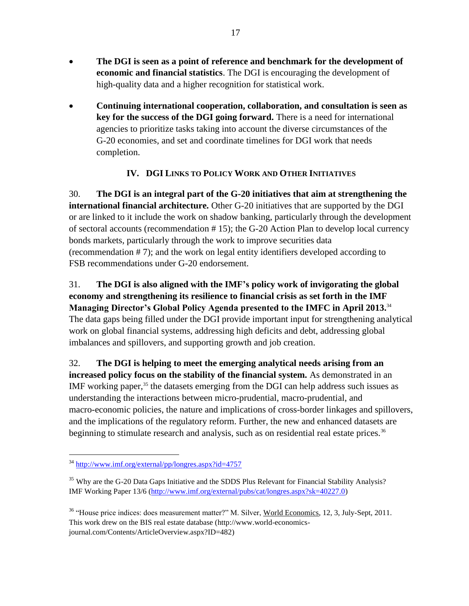- **The DGI is seen as a point of reference and benchmark for the development of economic and financial statistics**. The DGI is encouraging the development of high-quality data and a higher recognition for statistical work.
- **Continuing international cooperation, collaboration, and consultation is seen as key for the success of the DGI going forward.** There is a need for international agencies to prioritize tasks taking into account the diverse circumstances of the G-20 economies, and set and coordinate timelines for DGI work that needs completion.

# **IV. DGI LINKS TO POLICY WORK AND OTHER INITIATIVES**

30. **The DGI is an integral part of the G-20 initiatives that aim at strengthening the international financial architecture.** Other G-20 initiatives that are supported by the DGI or are linked to it include the work on shadow banking, particularly through the development of sectoral accounts (recommendation # 15); the G-20 Action Plan to develop local currency bonds markets, particularly through the work to improve securities data (recommendation # 7); and the work on legal entity identifiers developed according to FSB recommendations under G-20 endorsement.

31. **The DGI is also aligned with the IMF's policy work of invigorating the global economy and strengthening its resilience to financial crisis as set forth in the IMF Managing Director's Global Policy Agenda presented to the IMFC in April 2013.** 34 The data gaps being filled under the DGI provide important input for strengthening analytical work on global financial systems, addressing high deficits and debt, addressing global imbalances and spillovers, and supporting growth and job creation.

32. **The DGI is helping to meet the emerging analytical needs arising from an increased policy focus on the stability of the financial system.** As demonstrated in an IMF working paper, $35$  the datasets emerging from the DGI can help address such issues as understanding the interactions between micro-prudential, macro-prudential, and macro-economic policies, the nature and implications of cross-border linkages and spillovers, and the implications of the regulatory reform. Further, the new and enhanced datasets are beginning to stimulate research and analysis, such as on residential real estate prices.<sup>36</sup>

<sup>34</sup> <http://www.imf.org/external/pp/longres.aspx?id=4757>

<sup>&</sup>lt;sup>35</sup> Why are the G-20 Data Gaps Initiative and the SDDS Plus Relevant for Financial Stability Analysis? IMF Working Paper 13/6 [\(http://www.imf.org/external/pubs/cat/longres.aspx?sk=40227.0\)](http://www.imf.org/external/pubs/cat/longres.aspx?sk=40227.0)

<sup>&</sup>lt;sup>36</sup> "House price indices: does measurement matter?" M. Silver, World Economics, 12, 3, July-Sept, 2011. This work drew on the BIS real estate database (http://www.world-economicsjournal.com/Contents/ArticleOverview.aspx?ID=482)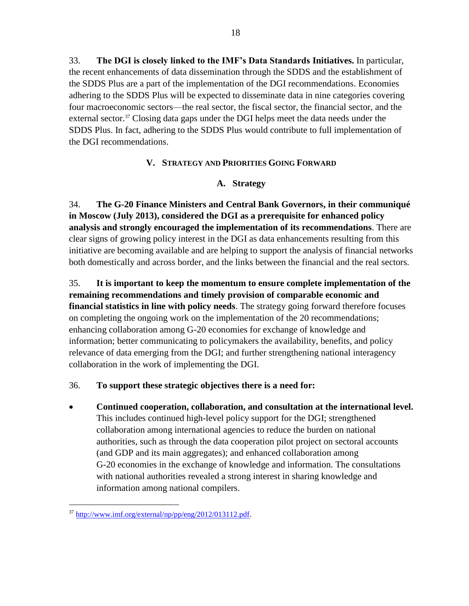33. **The DGI is closely linked to the IMF's Data Standards Initiatives.** In particular, the recent enhancements of data dissemination through the SDDS and the establishment of the SDDS Plus are a part of the implementation of the DGI recommendations. Economies adhering to the SDDS Plus will be expected to disseminate data in nine categories covering four macroeconomic sectors—the real sector, the fiscal sector, the financial sector, and the external sector.<sup>37</sup> Closing data gaps under the DGI helps meet the data needs under the SDDS Plus. In fact, adhering to the SDDS Plus would contribute to full implementation of the DGI recommendations.

## **V. STRATEGY AND PRIORITIES GOING FORWARD**

## **A. Strategy**

34. **The G-20 Finance Ministers and Central Bank Governors, in their communiqué in Moscow (July 2013), considered the DGI as a prerequisite for enhanced policy analysis and strongly encouraged the implementation of its recommendations**. There are clear signs of growing policy interest in the DGI as data enhancements resulting from this initiative are becoming available and are helping to support the analysis of financial networks both domestically and across border, and the links between the financial and the real sectors.

35. **It is important to keep the momentum to ensure complete implementation of the remaining recommendations and timely provision of comparable economic and financial statistics in line with policy needs**. The strategy going forward therefore focuses on completing the ongoing work on the implementation of the 20 recommendations; enhancing collaboration among G-20 economies for exchange of knowledge and information; better communicating to policymakers the availability, benefits, and policy relevance of data emerging from the DGI; and further strengthening national interagency collaboration in the work of implementing the DGI.

### 36. **To support these strategic objectives there is a need for:**

 **Continued cooperation, collaboration, and consultation at the international level.**  This includes continued high-level policy support for the DGI; strengthened collaboration among international agencies to reduce the burden on national authorities, such as through the data cooperation pilot project on sectoral accounts (and GDP and its main aggregates); and enhanced collaboration among G-20 economies in the exchange of knowledge and information. The consultations with national authorities revealed a strong interest in sharing knowledge and information among national compilers.

 $37 \text{ http://www.imf.org/external/np/pp/eng/2012/013112.pdf.}$  $37 \text{ http://www.imf.org/external/np/pp/eng/2012/013112.pdf.}$  $37 \text{ http://www.imf.org/external/np/pp/eng/2012/013112.pdf.}$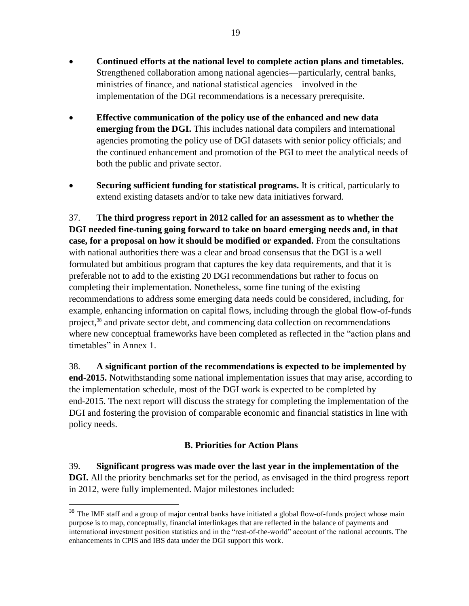- **Continued efforts at the national level to complete action plans and timetables.**  Strengthened collaboration among national agencies—particularly, central banks, ministries of finance, and national statistical agencies—involved in the implementation of the DGI recommendations is a necessary prerequisite.
- **Effective communication of the policy use of the enhanced and new data emerging from the DGI.** This includes national data compilers and international agencies promoting the policy use of DGI datasets with senior policy officials; and the continued enhancement and promotion of the PGI to meet the analytical needs of both the public and private sector.
- **Securing sufficient funding for statistical programs.** It is critical, particularly to extend existing datasets and/or to take new data initiatives forward.

37. **The third progress report in 2012 called for an assessment as to whether the DGI needed fine-tuning going forward to take on board emerging needs and, in that case, for a proposal on how it should be modified or expanded.** From the consultations with national authorities there was a clear and broad consensus that the DGI is a well formulated but ambitious program that captures the key data requirements, and that it is preferable not to add to the existing 20 DGI recommendations but rather to focus on completing their implementation. Nonetheless, some fine tuning of the existing recommendations to address some emerging data needs could be considered, including, for example, enhancing information on capital flows, including through the global flow-of-funds project,<sup>38</sup> and private sector debt, and commencing data collection on recommendations where new conceptual frameworks have been completed as reflected in the "action plans and timetables" in Annex 1.

38. **A significant portion of the recommendations is expected to be implemented by end-2015.** Notwithstanding some national implementation issues that may arise, according to the implementation schedule, most of the DGI work is expected to be completed by end-2015. The next report will discuss the strategy for completing the implementation of the DGI and fostering the provision of comparable economic and financial statistics in line with policy needs.

# **B. Priorities for Action Plans**

39. **Significant progress was made over the last year in the implementation of the DGI.** All the priority benchmarks set for the period, as envisaged in the third progress report in 2012, were fully implemented. Major milestones included:

<sup>&</sup>lt;sup>38</sup> The IMF staff and a group of major central banks have initiated a global flow-of-funds project whose main purpose is to map, conceptually, financial interlinkages that are reflected in the balance of payments and international investment position statistics and in the "rest-of-the-world" account of the national accounts. The enhancements in CPIS and IBS data under the DGI support this work.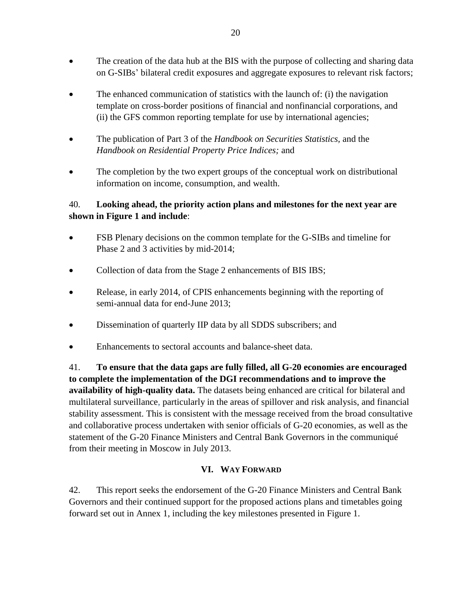- The creation of the data hub at the BIS with the purpose of collecting and sharing data on G-SIBs' bilateral credit exposures and aggregate exposures to relevant risk factors;
- The enhanced communication of statistics with the launch of: (i) the navigation template on cross-border positions of financial and nonfinancial corporations, and (ii) the GFS common reporting template for use by international agencies;
- The publication of Part 3 of the *Handbook on Securities Statistics,* and the *Handbook on Residential Property Price Indices;* and
- The completion by the two expert groups of the conceptual work on distributional information on income, consumption, and wealth.

# 40. **Looking ahead, the priority action plans and milestones for the next year are shown in Figure 1 and include**:

- FSB Plenary decisions on the common template for the G-SIBs and timeline for Phase 2 and 3 activities by mid-2014;
- Collection of data from the Stage 2 enhancements of BIS IBS;
- Release, in early 2014, of CPIS enhancements beginning with the reporting of semi-annual data for end-June 2013;
- Dissemination of quarterly IIP data by all SDDS subscribers; and
- Enhancements to sectoral accounts and balance-sheet data.

41. **To ensure that the data gaps are fully filled, all G-20 economies are encouraged to complete the implementation of the DGI recommendations and to improve the availability of high-quality data.** The datasets being enhanced are critical for bilateral and multilateral surveillance, particularly in the areas of spillover and risk analysis, and financial stability assessment. This is consistent with the message received from the broad consultative and collaborative process undertaken with senior officials of G-20 economies, as well as the statement of the G-20 Finance Ministers and Central Bank Governors in the communiqué from their meeting in Moscow in July 2013.

# **VI. WAY FORWARD**

42. This report seeks the endorsement of the G-20 Finance Ministers and Central Bank Governors and their continued support for the proposed actions plans and timetables going forward set out in Annex 1, including the key milestones presented in Figure 1.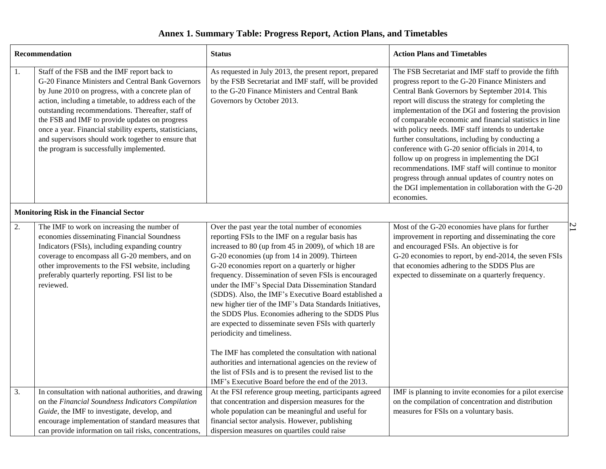# **Annex 1. Summary Table: Progress Report, Action Plans, and Timetables**

|    | Recommendation                                                                                                                                                                                                                                                                                                                                                                                                                                                                       | <b>Status</b>                                                                                                                                                                                                                                                                                                                                                                                                                                                                                                                                                                                                                                                                                              | <b>Action Plans and Timetables</b>                                                                                                                                                                                                                                                                                                                                                                                                                                                                                                                                                                                                                                                                                                           |
|----|--------------------------------------------------------------------------------------------------------------------------------------------------------------------------------------------------------------------------------------------------------------------------------------------------------------------------------------------------------------------------------------------------------------------------------------------------------------------------------------|------------------------------------------------------------------------------------------------------------------------------------------------------------------------------------------------------------------------------------------------------------------------------------------------------------------------------------------------------------------------------------------------------------------------------------------------------------------------------------------------------------------------------------------------------------------------------------------------------------------------------------------------------------------------------------------------------------|----------------------------------------------------------------------------------------------------------------------------------------------------------------------------------------------------------------------------------------------------------------------------------------------------------------------------------------------------------------------------------------------------------------------------------------------------------------------------------------------------------------------------------------------------------------------------------------------------------------------------------------------------------------------------------------------------------------------------------------------|
| 1. | Staff of the FSB and the IMF report back to<br>G-20 Finance Ministers and Central Bank Governors<br>by June 2010 on progress, with a concrete plan of<br>action, including a timetable, to address each of the<br>outstanding recommendations. Thereafter, staff of<br>the FSB and IMF to provide updates on progress<br>once a year. Financial stability experts, statisticians,<br>and supervisors should work together to ensure that<br>the program is successfully implemented. | As requested in July 2013, the present report, prepared<br>by the FSB Secretariat and IMF staff, will be provided<br>to the G-20 Finance Ministers and Central Bank<br>Governors by October 2013.                                                                                                                                                                                                                                                                                                                                                                                                                                                                                                          | The FSB Secretariat and IMF staff to provide the fifth<br>progress report to the G-20 Finance Ministers and<br>Central Bank Governors by September 2014. This<br>report will discuss the strategy for completing the<br>implementation of the DGI and fostering the provision<br>of comparable economic and financial statistics in line<br>with policy needs. IMF staff intends to undertake<br>further consultations, including by conducting a<br>conference with G-20 senior officials in 2014, to<br>follow up on progress in implementing the DGI<br>recommendations. IMF staff will continue to monitor<br>progress through annual updates of country notes on<br>the DGI implementation in collaboration with the G-20<br>economies. |
|    | <b>Monitoring Risk in the Financial Sector</b>                                                                                                                                                                                                                                                                                                                                                                                                                                       |                                                                                                                                                                                                                                                                                                                                                                                                                                                                                                                                                                                                                                                                                                            |                                                                                                                                                                                                                                                                                                                                                                                                                                                                                                                                                                                                                                                                                                                                              |
| 2. | The IMF to work on increasing the number of<br>economies disseminating Financial Soundness<br>Indicators (FSIs), including expanding country<br>coverage to encompass all G-20 members, and on<br>other improvements to the FSI website, including<br>preferably quarterly reporting. FSI list to be<br>reviewed.                                                                                                                                                                    | Over the past year the total number of economies<br>reporting FSIs to the IMF on a regular basis has<br>increased to 80 (up from 45 in 2009), of which 18 are<br>G-20 economies (up from 14 in 2009). Thirteen<br>G-20 economies report on a quarterly or higher<br>frequency. Dissemination of seven FSIs is encouraged<br>under the IMF's Special Data Dissemination Standard<br>(SDDS). Also, the IMF's Executive Board established a<br>new higher tier of the IMF's Data Standards Initiatives,<br>the SDDS Plus. Economies adhering to the SDDS Plus<br>are expected to disseminate seven FSIs with quarterly<br>periodicity and timeliness.<br>The IMF has completed the consultation with national | $\overline{1}$<br>Most of the G-20 economies have plans for further<br>improvement in reporting and disseminating the core<br>and encouraged FSIs. An objective is for<br>G-20 economies to report, by end-2014, the seven FSIs<br>that economies adhering to the SDDS Plus are<br>expected to disseminate on a quarterly frequency.                                                                                                                                                                                                                                                                                                                                                                                                         |
|    |                                                                                                                                                                                                                                                                                                                                                                                                                                                                                      | authorities and international agencies on the review of<br>the list of FSIs and is to present the revised list to the                                                                                                                                                                                                                                                                                                                                                                                                                                                                                                                                                                                      |                                                                                                                                                                                                                                                                                                                                                                                                                                                                                                                                                                                                                                                                                                                                              |
| 3. | In consultation with national authorities, and drawing<br>on the Financial Soundness Indicators Compilation<br>Guide, the IMF to investigate, develop, and<br>encourage implementation of standard measures that<br>can provide information on tail risks, concentrations,                                                                                                                                                                                                           | IMF's Executive Board before the end of the 2013.<br>At the FSI reference group meeting, participants agreed<br>that concentration and dispersion measures for the<br>whole population can be meaningful and useful for<br>financial sector analysis. However, publishing<br>dispersion measures on quartiles could raise                                                                                                                                                                                                                                                                                                                                                                                  | IMF is planning to invite economies for a pilot exercise<br>on the compilation of concentration and distribution<br>measures for FSIs on a voluntary basis.                                                                                                                                                                                                                                                                                                                                                                                                                                                                                                                                                                                  |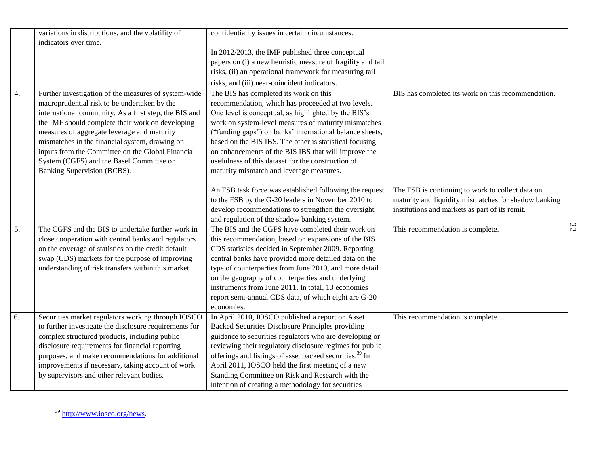|                  | variations in distributions, and the volatility of     | confidentiality issues in certain circumstances.                    |                                                      |                |
|------------------|--------------------------------------------------------|---------------------------------------------------------------------|------------------------------------------------------|----------------|
|                  | indicators over time.                                  |                                                                     |                                                      |                |
|                  |                                                        | In 2012/2013, the IMF published three conceptual                    |                                                      |                |
|                  |                                                        | papers on (i) a new heuristic measure of fragility and tail         |                                                      |                |
|                  |                                                        | risks, (ii) an operational framework for measuring tail             |                                                      |                |
|                  |                                                        | risks, and (iii) near-coincident indicators.                        |                                                      |                |
| 4.               | Further investigation of the measures of system-wide   | The BIS has completed its work on this                              | BIS has completed its work on this recommendation.   |                |
|                  | macroprudential risk to be undertaken by the           | recommendation, which has proceeded at two levels.                  |                                                      |                |
|                  | international community. As a first step, the BIS and  | One level is conceptual, as highlighted by the BIS's                |                                                      |                |
|                  | the IMF should complete their work on developing       | work on system-level measures of maturity mismatches                |                                                      |                |
|                  | measures of aggregate leverage and maturity            | ("funding gaps") on banks' international balance sheets,            |                                                      |                |
|                  | mismatches in the financial system, drawing on         | based on the BIS IBS. The other is statistical focusing             |                                                      |                |
|                  | inputs from the Committee on the Global Financial      | on enhancements of the BIS IBS that will improve the                |                                                      |                |
|                  | System (CGFS) and the Basel Committee on               | usefulness of this dataset for the construction of                  |                                                      |                |
|                  | Banking Supervision (BCBS).                            | maturity mismatch and leverage measures.                            |                                                      |                |
|                  |                                                        |                                                                     |                                                      |                |
|                  |                                                        | An FSB task force was established following the request             | The FSB is continuing to work to collect data on     |                |
|                  |                                                        | to the FSB by the G-20 leaders in November 2010 to                  | maturity and liquidity mismatches for shadow banking |                |
|                  |                                                        | develop recommendations to strengthen the oversight                 | institutions and markets as part of its remit.       |                |
|                  |                                                        | and regulation of the shadow banking system.                        |                                                      |                |
| $\overline{5}$ . | The CGFS and the BIS to undertake further work in      | The BIS and the CGFS have completed their work on                   | This recommendation is complete.                     | $\overline{z}$ |
|                  | close cooperation with central banks and regulators    | this recommendation, based on expansions of the BIS                 |                                                      |                |
|                  | on the coverage of statistics on the credit default    | CDS statistics decided in September 2009. Reporting                 |                                                      |                |
|                  | swap (CDS) markets for the purpose of improving        | central banks have provided more detailed data on the               |                                                      |                |
|                  | understanding of risk transfers within this market.    | type of counterparties from June 2010, and more detail              |                                                      |                |
|                  |                                                        | on the geography of counterparties and underlying                   |                                                      |                |
|                  |                                                        | instruments from June 2011. In total, 13 economies                  |                                                      |                |
|                  |                                                        | report semi-annual CDS data, of which eight are G-20                |                                                      |                |
|                  |                                                        | economies.                                                          |                                                      |                |
| 6.               | Securities market regulators working through IOSCO     | In April 2010, IOSCO published a report on Asset                    | This recommendation is complete.                     |                |
|                  | to further investigate the disclosure requirements for | Backed Securities Disclosure Principles providing                   |                                                      |                |
|                  | complex structured products, including public          | guidance to securities regulators who are developing or             |                                                      |                |
|                  | disclosure requirements for financial reporting        | reviewing their regulatory disclosure regimes for public            |                                                      |                |
|                  | purposes, and make recommendations for additional      | offerings and listings of asset backed securities. <sup>39</sup> In |                                                      |                |
|                  | improvements if necessary, taking account of work      | April 2011, IOSCO held the first meeting of a new                   |                                                      |                |
|                  | by supervisors and other relevant bodies.              | Standing Committee on Risk and Research with the                    |                                                      |                |
|                  |                                                        | intention of creating a methodology for securities                  |                                                      |                |

<sup>&</sup>lt;sup>39</sup> [http://www.iosco.org/news.](http://www.iosco.org/news)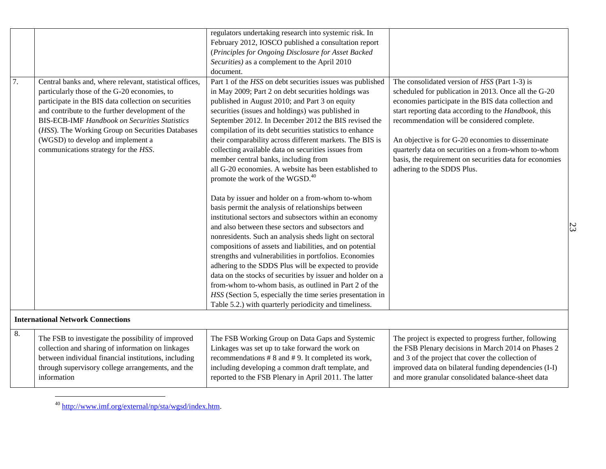|    |                                                         | regulators undertaking research into systemic risk. In     |                                                         |
|----|---------------------------------------------------------|------------------------------------------------------------|---------------------------------------------------------|
|    |                                                         | February 2012, IOSCO published a consultation report       |                                                         |
|    |                                                         | (Principles for Ongoing Disclosure for Asset Backed        |                                                         |
|    |                                                         | Securities) as a complement to the April 2010              |                                                         |
|    |                                                         | document.                                                  |                                                         |
| 7. | Central banks and, where relevant, statistical offices, | Part 1 of the HSS on debt securities issues was published  | The consolidated version of HSS (Part 1-3) is           |
|    | particularly those of the G-20 economies, to            | in May 2009; Part 2 on debt securities holdings was        | scheduled for publication in 2013. Once all the G-20    |
|    | participate in the BIS data collection on securities    | published in August 2010; and Part 3 on equity             | economies participate in the BIS data collection and    |
|    | and contribute to the further development of the        | securities (issues and holdings) was published in          | start reporting data according to the Handbook, this    |
|    | <b>BIS-ECB-IMF Handbook on Securities Statistics</b>    | September 2012. In December 2012 the BIS revised the       | recommendation will be considered complete.             |
|    | (HSS). The Working Group on Securities Databases        | compilation of its debt securities statistics to enhance   |                                                         |
|    | (WGSD) to develop and implement a                       | their comparability across different markets. The BIS is   | An objective is for G-20 economies to disseminate       |
|    | communications strategy for the HSS.                    | collecting available data on securities issues from        | quarterly data on securities on a from-whom to-whom     |
|    |                                                         | member central banks, including from                       | basis, the requirement on securities data for economies |
|    |                                                         | all G-20 economies. A website has been established to      | adhering to the SDDS Plus.                              |
|    |                                                         | promote the work of the WGSD. <sup>40</sup>                |                                                         |
|    |                                                         |                                                            |                                                         |
|    |                                                         | Data by issuer and holder on a from-whom to-whom           |                                                         |
|    |                                                         | basis permit the analysis of relationships between         |                                                         |
|    |                                                         | institutional sectors and subsectors within an economy     |                                                         |
|    |                                                         | and also between these sectors and subsectors and          |                                                         |
|    |                                                         | nonresidents. Such an analysis sheds light on sectoral     |                                                         |
|    |                                                         | compositions of assets and liabilities, and on potential   |                                                         |
|    |                                                         | strengths and vulnerabilities in portfolios. Economies     |                                                         |
|    |                                                         | adhering to the SDDS Plus will be expected to provide      |                                                         |
|    |                                                         | data on the stocks of securities by issuer and holder on a |                                                         |
|    |                                                         | from-whom to-whom basis, as outlined in Part 2 of the      |                                                         |
|    |                                                         | HSS (Section 5, especially the time series presentation in |                                                         |
|    |                                                         | Table 5.2.) with quarterly periodicity and timeliness.     |                                                         |
|    |                                                         |                                                            |                                                         |
|    | <b>International Network Connections</b>                |                                                            |                                                         |
| 8. | The FSB to investigate the possibility of improved      | The FSB Working Group on Data Gaps and Systemic            | The project is expected to progress further, following  |
|    | collection and sharing of information on linkages       | Linkages was set up to take forward the work on            | the FSB Plenary decisions in March 2014 on Phases 2     |
|    | between individual financial institutions, including    | recommendations #8 and #9. It completed its work,          | and 3 of the project that cover the collection of       |
|    | through supervisory college arrangements, and the       | including developing a common draft template, and          | improved data on bilateral funding dependencies (I-I)   |
|    | information                                             | reported to the FSB Plenary in April 2011. The latter      | and more granular consolidated balance-sheet data       |
|    |                                                         |                                                            |                                                         |

<sup>40</sup> [http://www.imf.org/external/np/sta/wgsd/index.htm.](http://www.imf.org/external/np/sta/wgsd/index.htm)

 $\overline{a}$ 

23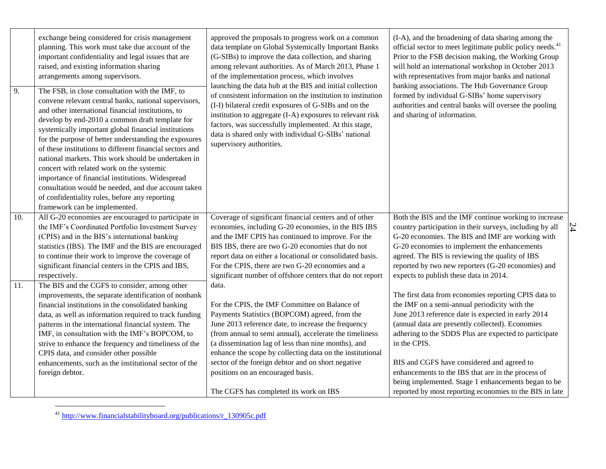| $\overline{9}$ . | exchange being considered for crisis management<br>planning. This work must take due account of the<br>important confidentiality and legal issues that are<br>raised, and existing information sharing<br>arrangements among supervisors.<br>The FSB, in close consultation with the IMF, to<br>convene relevant central banks, national supervisors,<br>and other international financial institutions, to<br>develop by end-2010 a common draft template for<br>systemically important global financial institutions<br>for the purpose of better understanding the exposures<br>of these institutions to different financial sectors and<br>national markets. This work should be undertaken in<br>concert with related work on the systemic<br>importance of financial institutions. Widespread<br>consultation would be needed, and due account taken<br>of confidentiality rules, before any reporting<br>framework can be implemented. | approved the proposals to progress work on a common<br>data template on Global Systemically Important Banks<br>(G-SIBs) to improve the data collection, and sharing<br>among relevant authorities. As of March 2013, Phase 1<br>of the implementation process, which involves<br>launching the data hub at the BIS and initial collection<br>of consistent information on the institution to institution<br>(I-I) bilateral credit exposures of G-SIBs and on the<br>institution to aggregate (I-A) exposures to relevant risk<br>factors, was successfully implemented. At this stage,<br>data is shared only with individual G-SIBs' national<br>supervisory authorities. | (I-A), and the broadening of data sharing among the<br>official sector to meet legitimate public policy needs. <sup>41</sup><br>Prior to the FSB decision making, the Working Group<br>will hold an international workshop in October 2013<br>with representatives from major banks and national<br>banking associations. The Hub Governance Group<br>formed by individual G-SIBs' home supervisory<br>authorities and central banks will oversee the pooling<br>and sharing of information.                   |    |
|------------------|-----------------------------------------------------------------------------------------------------------------------------------------------------------------------------------------------------------------------------------------------------------------------------------------------------------------------------------------------------------------------------------------------------------------------------------------------------------------------------------------------------------------------------------------------------------------------------------------------------------------------------------------------------------------------------------------------------------------------------------------------------------------------------------------------------------------------------------------------------------------------------------------------------------------------------------------------|-----------------------------------------------------------------------------------------------------------------------------------------------------------------------------------------------------------------------------------------------------------------------------------------------------------------------------------------------------------------------------------------------------------------------------------------------------------------------------------------------------------------------------------------------------------------------------------------------------------------------------------------------------------------------------|----------------------------------------------------------------------------------------------------------------------------------------------------------------------------------------------------------------------------------------------------------------------------------------------------------------------------------------------------------------------------------------------------------------------------------------------------------------------------------------------------------------|----|
| 10.              | All G-20 economies are encouraged to participate in<br>the IMF's Coordinated Portfolio Investment Survey<br>(CPIS) and in the BIS's international banking<br>statistics (IBS). The IMF and the BIS are encouraged<br>to continue their work to improve the coverage of<br>significant financial centers in the CPIS and IBS,<br>respectively.                                                                                                                                                                                                                                                                                                                                                                                                                                                                                                                                                                                                 | Coverage of significant financial centers and of other<br>economies, including G-20 economies, in the BIS IBS<br>and the IMF CPIS has continued to improve. For the<br>BIS IBS, there are two G-20 economies that do not<br>report data on either a locational or consolidated basis.<br>For the CPIS, there are two G-20 economies and a<br>significant number of offshore centers that do not report                                                                                                                                                                                                                                                                      | Both the BIS and the IMF continue working to increase<br>country participation in their surveys, including by all<br>G-20 economies. The BIS and IMF are working with<br>G-20 economies to implement the enhancements<br>agreed. The BIS is reviewing the quality of IBS<br>reported by two new reporters (G-20 economies) and<br>expects to publish these data in 2014.                                                                                                                                       | 24 |
| 11.              | The BIS and the CGFS to consider, among other<br>improvements, the separate identification of nonbank<br>financial institutions in the consolidated banking<br>data, as well as information required to track funding<br>patterns in the international financial system. The<br>IMF, in consultation with the IMF's BOPCOM, to<br>strive to enhance the frequency and timeliness of the<br>CPIS data, and consider other possible<br>enhancements, such as the institutional sector of the<br>foreign debtor.                                                                                                                                                                                                                                                                                                                                                                                                                                 | data.<br>For the CPIS, the IMF Committee on Balance of<br>Payments Statistics (BOPCOM) agreed, from the<br>June 2013 reference date, to increase the frequency<br>(from annual to semi annual), accelerate the timeliness<br>(a dissemination lag of less than nine months), and<br>enhance the scope by collecting data on the institutional<br>sector of the foreign debtor and on short negative<br>positions on an encouraged basis.<br>The CGFS has completed its work on IBS                                                                                                                                                                                          | The first data from economies reporting CPIS data to<br>the IMF on a semi-annual periodicity with the<br>June 2013 reference date is expected in early 2014<br>(annual data are presently collected). Economies<br>adhering to the SDDS Plus are expected to participate<br>in the CPIS.<br>BIS and CGFS have considered and agreed to<br>enhancements to the IBS that are in the process of<br>being implemented. Stage 1 enhancements began to be<br>reported by most reporting economies to the BIS in late |    |

<sup>41</sup> [http://www.financialstabilityboard.org/publications/r\\_130905c.pdf](http://www.financialstabilityboard.org/publications/r_130905c.pdf)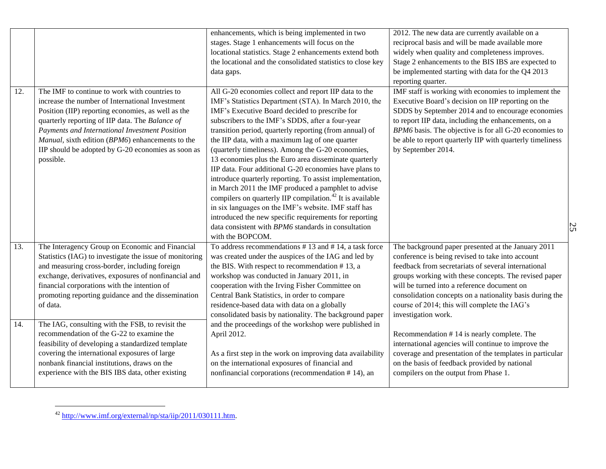| 12. | The IMF to continue to work with countries to                                                                                                                                                                                                                                                                                         | enhancements, which is being implemented in two<br>stages. Stage 1 enhancements will focus on the<br>locational statistics. Stage 2 enhancements extend both<br>the locational and the consolidated statistics to close key<br>data gaps.<br>All G-20 economies collect and report IIP data to the                                                                                                                                                                                                                                                                                                                                                                                                                                                                                                                                         | 2012. The new data are currently available on a<br>reciprocal basis and will be made available more<br>widely when quality and completeness improves.<br>Stage 2 enhancements to the BIS IBS are expected to<br>be implemented starting with data for the Q4 2013<br>reporting quarter.<br>IMF staff is working with economies to implement the                                                          |                |
|-----|---------------------------------------------------------------------------------------------------------------------------------------------------------------------------------------------------------------------------------------------------------------------------------------------------------------------------------------|--------------------------------------------------------------------------------------------------------------------------------------------------------------------------------------------------------------------------------------------------------------------------------------------------------------------------------------------------------------------------------------------------------------------------------------------------------------------------------------------------------------------------------------------------------------------------------------------------------------------------------------------------------------------------------------------------------------------------------------------------------------------------------------------------------------------------------------------|----------------------------------------------------------------------------------------------------------------------------------------------------------------------------------------------------------------------------------------------------------------------------------------------------------------------------------------------------------------------------------------------------------|----------------|
|     | increase the number of International Investment<br>Position (IIP) reporting economies, as well as the<br>quarterly reporting of IIP data. The Balance of<br>Payments and International Investment Position<br>Manual, sixth edition (BPM6) enhancements to the<br>IIP should be adopted by G-20 economies as soon as<br>possible.     | IMF's Statistics Department (STA). In March 2010, the<br>IMF's Executive Board decided to prescribe for<br>subscribers to the IMF's SDDS, after a four-year<br>transition period, quarterly reporting (from annual) of<br>the IIP data, with a maximum lag of one quarter<br>(quarterly timeliness). Among the G-20 economies,<br>13 economies plus the Euro area disseminate quarterly<br>IIP data. Four additional G-20 economies have plans to<br>introduce quarterly reporting. To assist implementation,<br>in March 2011 the IMF produced a pamphlet to advise<br>compilers on quarterly IIP compilation. <sup>42</sup> It is available<br>in six languages on the IMF's website. IMF staff has<br>introduced the new specific requirements for reporting<br>data consistent with BPM6 standards in consultation<br>with the BOPCOM. | Executive Board's decision on IIP reporting on the<br>SDDS by September 2014 and to encourage economies<br>to report IIP data, including the enhancements, on a<br>BPM6 basis. The objective is for all G-20 economies to<br>be able to report quarterly IIP with quarterly timeliness<br>by September 2014.                                                                                             | $\overline{2}$ |
| 13. | The Interagency Group on Economic and Financial<br>Statistics (IAG) to investigate the issue of monitoring<br>and measuring cross-border, including foreign<br>exchange, derivatives, exposures of nonfinancial and<br>financial corporations with the intention of<br>promoting reporting guidance and the dissemination<br>of data. | To address recommendations $# 13$ and $# 14$ , a task force<br>was created under the auspices of the IAG and led by<br>the BIS. With respect to recommendation #13, a<br>workshop was conducted in January 2011, in<br>cooperation with the Irving Fisher Committee on<br>Central Bank Statistics, in order to compare<br>residence-based data with data on a globally<br>consolidated basis by nationality. The background paper                                                                                                                                                                                                                                                                                                                                                                                                          | The background paper presented at the January 2011<br>conference is being revised to take into account<br>feedback from secretariats of several international<br>groups working with these concepts. The revised paper<br>will be turned into a reference document on<br>consolidation concepts on a nationality basis during the<br>course of 2014; this will complete the IAG's<br>investigation work. |                |
| 14. | The IAG, consulting with the FSB, to revisit the<br>recommendation of the G-22 to examine the<br>feasibility of developing a standardized template<br>covering the international exposures of large<br>nonbank financial institutions, draws on the<br>experience with the BIS IBS data, other existing                               | and the proceedings of the workshop were published in<br>April 2012.<br>As a first step in the work on improving data availability<br>on the international exposures of financial and<br>nonfinancial corporations (recommendation #14), an                                                                                                                                                                                                                                                                                                                                                                                                                                                                                                                                                                                                | Recommendation #14 is nearly complete. The<br>international agencies will continue to improve the<br>coverage and presentation of the templates in particular<br>on the basis of feedback provided by national<br>compilers on the output from Phase 1.                                                                                                                                                  |                |

 $^{42}$  [http://www.imf.org/external/np/sta/iip/2011/030111.htm.](http://www.imf.org/external/np/sta/iip/2011/030111.htm)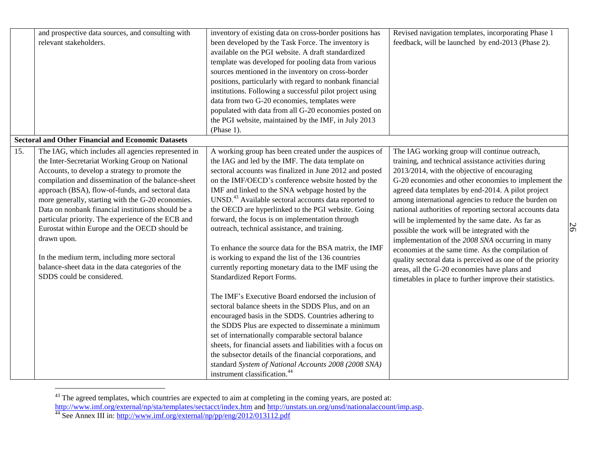| and prospective data sources, and consulting with<br>relevant stakeholders.                                                                                                                                                                                                                                                                                                                                                                                                                                                                                                                                                                              | inventory of existing data on cross-border positions has<br>been developed by the Task Force. The inventory is<br>available on the PGI website. A draft standardized<br>template was developed for pooling data from various<br>sources mentioned in the inventory on cross-border<br>positions, particularly with regard to nonbank financial<br>institutions. Following a successful pilot project using<br>data from two G-20 economies, templates were                                                                                                                                                                                                                                                                                                                                                                                                                                                                                                                                                                                                                                                                                                                                                                                    | Revised navigation templates, incorporating Phase 1<br>feedback, will be launched by end-2013 (Phase 2).                                                                                                                                                                                                                                                                                                                                                                                                                                                                                                                                                                                                                                                                     |    |
|----------------------------------------------------------------------------------------------------------------------------------------------------------------------------------------------------------------------------------------------------------------------------------------------------------------------------------------------------------------------------------------------------------------------------------------------------------------------------------------------------------------------------------------------------------------------------------------------------------------------------------------------------------|-----------------------------------------------------------------------------------------------------------------------------------------------------------------------------------------------------------------------------------------------------------------------------------------------------------------------------------------------------------------------------------------------------------------------------------------------------------------------------------------------------------------------------------------------------------------------------------------------------------------------------------------------------------------------------------------------------------------------------------------------------------------------------------------------------------------------------------------------------------------------------------------------------------------------------------------------------------------------------------------------------------------------------------------------------------------------------------------------------------------------------------------------------------------------------------------------------------------------------------------------|------------------------------------------------------------------------------------------------------------------------------------------------------------------------------------------------------------------------------------------------------------------------------------------------------------------------------------------------------------------------------------------------------------------------------------------------------------------------------------------------------------------------------------------------------------------------------------------------------------------------------------------------------------------------------------------------------------------------------------------------------------------------------|----|
| <b>Sectoral and Other Financial and Economic Datasets</b>                                                                                                                                                                                                                                                                                                                                                                                                                                                                                                                                                                                                | populated with data from all G-20 economies posted on<br>the PGI website, maintained by the IMF, in July 2013<br>(Phase 1).                                                                                                                                                                                                                                                                                                                                                                                                                                                                                                                                                                                                                                                                                                                                                                                                                                                                                                                                                                                                                                                                                                                   |                                                                                                                                                                                                                                                                                                                                                                                                                                                                                                                                                                                                                                                                                                                                                                              |    |
| $\overline{15}$ .<br>The IAG, which includes all agencies represented in<br>the Inter-Secretariat Working Group on National<br>Accounts, to develop a strategy to promote the<br>compilation and dissemination of the balance-sheet<br>approach (BSA), flow-of-funds, and sectoral data<br>more generally, starting with the G-20 economies.<br>Data on nonbank financial institutions should be a<br>particular priority. The experience of the ECB and<br>Eurostat within Europe and the OECD should be<br>drawn upon.<br>In the medium term, including more sectoral<br>balance-sheet data in the data categories of the<br>SDDS could be considered. | A working group has been created under the auspices of<br>the IAG and led by the IMF. The data template on<br>sectoral accounts was finalized in June 2012 and posted<br>on the IMF/OECD's conference website hosted by the<br>IMF and linked to the SNA webpage hosted by the<br>UNSD. <sup>43</sup> Available sectoral accounts data reported to<br>the OECD are hyperlinked to the PGI website. Going<br>forward, the focus is on implementation through<br>outreach, technical assistance, and training.<br>To enhance the source data for the BSA matrix, the IMF<br>is working to expand the list of the 136 countries<br>currently reporting monetary data to the IMF using the<br><b>Standardized Report Forms.</b><br>The IMF's Executive Board endorsed the inclusion of<br>sectoral balance sheets in the SDDS Plus, and on an<br>encouraged basis in the SDDS. Countries adhering to<br>the SDDS Plus are expected to disseminate a minimum<br>set of internationally comparable sectoral balance<br>sheets, for financial assets and liabilities with a focus on<br>the subsector details of the financial corporations, and<br>standard System of National Accounts 2008 (2008 SNA)<br>instrument classification. <sup>44</sup> | The IAG working group will continue outreach,<br>training, and technical assistance activities during<br>2013/2014, with the objective of encouraging<br>G-20 economies and other economies to implement the<br>agreed data templates by end-2014. A pilot project<br>among international agencies to reduce the burden on<br>national authorities of reporting sectoral accounts data<br>will be implemented by the same date. As far as<br>possible the work will be integrated with the<br>implementation of the 2008 SNA occurring in many<br>economies at the same time. As the compilation of<br>quality sectoral data is perceived as one of the priority<br>areas, all the G-20 economies have plans and<br>timetables in place to further improve their statistics. | 26 |

 $43$  The agreed templates, which countries are expected to aim at completing in the coming years, are posted at: <http://www.imf.org/external/np/sta/templates/sectacct/index.htm> and [http://unstats.un.org/unsd/nationalaccount/imp.asp.](http://unstats.un.org/unsd/nationalaccount/imp.asp)

<sup>&</sup>lt;sup>44</sup> See Annex III in:<http://www.imf.org/external/np/pp/eng/2012/013112.pdf>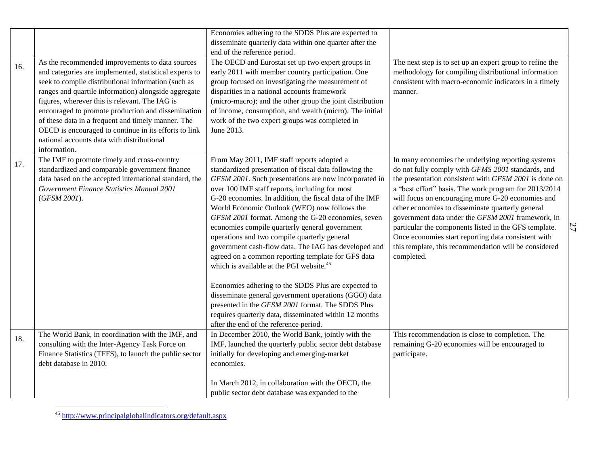|     |                                                        | Economies adhering to the SDDS Plus are expected to       |                                                          |    |
|-----|--------------------------------------------------------|-----------------------------------------------------------|----------------------------------------------------------|----|
|     |                                                        | disseminate quarterly data within one quarter after the   |                                                          |    |
|     |                                                        | end of the reference period.                              |                                                          |    |
| 16. | As the recommended improvements to data sources        | The OECD and Eurostat set up two expert groups in         | The next step is to set up an expert group to refine the |    |
|     | and categories are implemented, statistical experts to | early 2011 with member country participation. One         | methodology for compiling distributional information     |    |
|     | seek to compile distributional information (such as    | group focused on investigating the measurement of         | consistent with macro-economic indicators in a timely    |    |
|     | ranges and quartile information) alongside aggregate   | disparities in a national accounts framework              | manner.                                                  |    |
|     | figures, wherever this is relevant. The IAG is         | (micro-macro); and the other group the joint distribution |                                                          |    |
|     | encouraged to promote production and dissemination     | of income, consumption, and wealth (micro). The initial   |                                                          |    |
|     | of these data in a frequent and timely manner. The     | work of the two expert groups was completed in            |                                                          |    |
|     | OECD is encouraged to continue in its efforts to link  | June 2013.                                                |                                                          |    |
|     | national accounts data with distributional             |                                                           |                                                          |    |
|     | information.                                           |                                                           |                                                          |    |
| 17. | The IMF to promote timely and cross-country            | From May 2011, IMF staff reports adopted a                | In many economies the underlying reporting systems       |    |
|     | standardized and comparable government finance         | standardized presentation of fiscal data following the    | do not fully comply with GFMS 2001 standards, and        |    |
|     | data based on the accepted international standard, the | GFSM 2001. Such presentations are now incorporated in     | the presentation consistent with GFSM 2001 is done on    |    |
|     | Government Finance Statistics Manual 2001              | over 100 IMF staff reports, including for most            | a "best effort" basis. The work program for 2013/2014    |    |
|     | (GFSM 2001).                                           | G-20 economies. In addition, the fiscal data of the IMF   | will focus on encouraging more G-20 economies and        |    |
|     |                                                        | World Economic Outlook (WEO) now follows the              | other economies to disseminate quarterly general         |    |
|     |                                                        | GFSM 2001 format. Among the G-20 economies, seven         | government data under the GFSM 2001 framework, in        |    |
|     |                                                        | economies compile quarterly general government            | particular the components listed in the GFS template.    | 27 |
|     |                                                        | operations and two compile quarterly general              | Once economies start reporting data consistent with      |    |
|     |                                                        | government cash-flow data. The IAG has developed and      | this template, this recommendation will be considered    |    |
|     |                                                        | agreed on a common reporting template for GFS data        | completed.                                               |    |
|     |                                                        | which is available at the PGI website. <sup>45</sup>      |                                                          |    |
|     |                                                        |                                                           |                                                          |    |
|     |                                                        | Economies adhering to the SDDS Plus are expected to       |                                                          |    |
|     |                                                        | disseminate general government operations (GGO) data      |                                                          |    |
|     |                                                        | presented in the GFSM 2001 format. The SDDS Plus          |                                                          |    |
|     |                                                        | requires quarterly data, disseminated within 12 months    |                                                          |    |
|     |                                                        | after the end of the reference period.                    |                                                          |    |
| 18. | The World Bank, in coordination with the IMF, and      | In December 2010, the World Bank, jointly with the        | This recommendation is close to completion. The          |    |
|     | consulting with the Inter-Agency Task Force on         | IMF, launched the quarterly public sector debt database   | remaining G-20 economies will be encouraged to           |    |
|     | Finance Statistics (TFFS), to launch the public sector | initially for developing and emerging-market              | participate.                                             |    |
|     | debt database in 2010.                                 | economies.                                                |                                                          |    |
|     |                                                        |                                                           |                                                          |    |
|     |                                                        | In March 2012, in collaboration with the OECD, the        |                                                          |    |
|     |                                                        | public sector debt database was expanded to the           |                                                          |    |

<sup>&</sup>lt;sup>45</sup> <http://www.principalglobalindicators.org/default.aspx>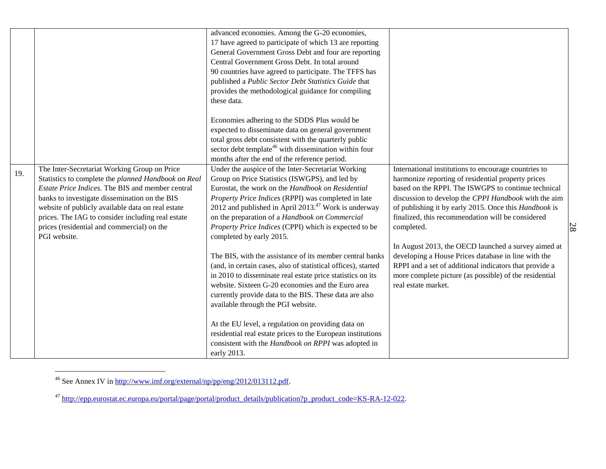|     |                                                                                                                                                                                                                                                                                                                                                                                  | advanced economies. Among the G-20 economies,<br>17 have agreed to participate of which 13 are reporting<br>General Government Gross Debt and four are reporting<br>Central Government Gross Debt. In total around<br>90 countries have agreed to participate. The TFFS has<br>published a Public Sector Debt Statistics Guide that<br>provides the methodological guidance for compiling<br>these data.             |                                                                                                                                                                                                                                                                                                                                                       |
|-----|----------------------------------------------------------------------------------------------------------------------------------------------------------------------------------------------------------------------------------------------------------------------------------------------------------------------------------------------------------------------------------|----------------------------------------------------------------------------------------------------------------------------------------------------------------------------------------------------------------------------------------------------------------------------------------------------------------------------------------------------------------------------------------------------------------------|-------------------------------------------------------------------------------------------------------------------------------------------------------------------------------------------------------------------------------------------------------------------------------------------------------------------------------------------------------|
|     |                                                                                                                                                                                                                                                                                                                                                                                  | Economies adhering to the SDDS Plus would be<br>expected to disseminate data on general government<br>total gross debt consistent with the quarterly public<br>sector debt template <sup>46</sup> with dissemination within four<br>months after the end of the reference period.                                                                                                                                    |                                                                                                                                                                                                                                                                                                                                                       |
| 19. | The Inter-Secretariat Working Group on Price<br>Statistics to complete the planned Handbook on Real<br>Estate Price Indices. The BIS and member central<br>banks to investigate dissemination on the BIS<br>website of publicly available data on real estate<br>prices. The IAG to consider including real estate<br>prices (residential and commercial) on the<br>PGI website. | Under the auspice of the Inter-Secretariat Working<br>Group on Price Statistics (ISWGPS), and led by<br>Eurostat, the work on the Handbook on Residential<br>Property Price Indices (RPPI) was completed in late<br>2012 and published in April $2013.^{47}$ Work is underway<br>on the preparation of a Handbook on Commercial<br>Property Price Indices (CPPI) which is expected to be<br>completed by early 2015. | International institutions to encourage countries to<br>harmonize reporting of residential property prices<br>based on the RPPI. The ISWGPS to continue technical<br>discussion to develop the CPPI Handbook with the aim<br>of publishing it by early 2015. Once this Handbook is<br>finalized, this recommendation will be considered<br>completed. |
|     |                                                                                                                                                                                                                                                                                                                                                                                  | The BIS, with the assistance of its member central banks<br>(and, in certain cases, also of statistical offices), started<br>in 2010 to disseminate real estate price statistics on its<br>website. Sixteen G-20 economies and the Euro area<br>currently provide data to the BIS. These data are also<br>available through the PGI website.                                                                         | In August 2013, the OECD launched a survey aimed at<br>developing a House Prices database in line with the<br>RPPI and a set of additional indicators that provide a<br>more complete picture (as possible) of the residential<br>real estate market.                                                                                                 |
|     |                                                                                                                                                                                                                                                                                                                                                                                  | At the EU level, a regulation on providing data on<br>residential real estate prices to the European institutions<br>consistent with the Handbook on RPPI was adopted in<br>early 2013.                                                                                                                                                                                                                              |                                                                                                                                                                                                                                                                                                                                                       |

<sup>&</sup>lt;sup>46</sup> See Annex IV in [http://www.imf.org/external/np/pp/eng/2012/013112.pdf.](http://www.imf.org/external/np/pp/eng/2012/013112.pdf)

<sup>47</sup> [http://epp.eurostat.ec.europa.eu/portal/page/portal/product\\_details/publication?p\\_product\\_code=KS-RA-12-022.](http://epp.eurostat.ec.europa.eu/portal/page/portal/product_details/publication?p_product_code=KS-RA-12-022)